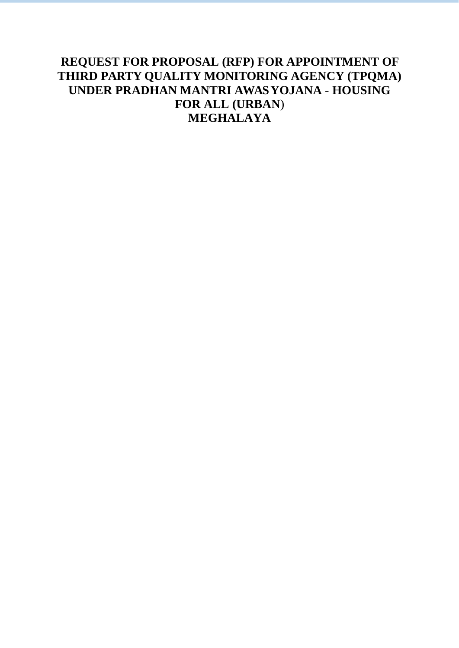## **REQUEST FOR PROPOSAL (RFP) FOR APPOINTMENT OF THIRD PARTY QUALITY MONITORING AGENCY (TPQMA) UNDER PRADHAN MANTRI AWAS YOJANA - HOUSING FOR ALL (URBAN**) **MEGHALAYA**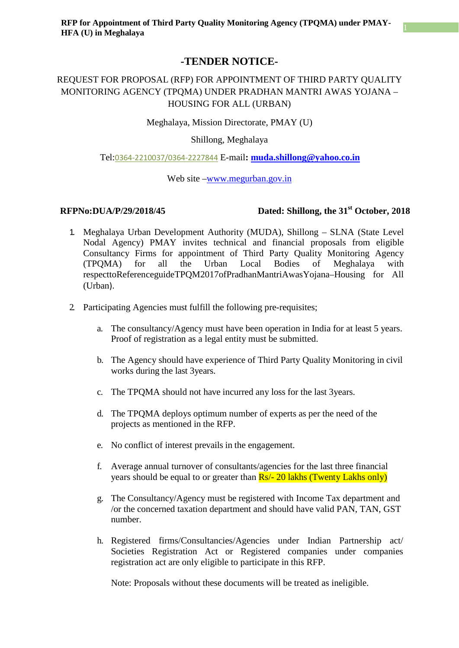### **-TENDER NOTICE-**

### REQUEST FOR PROPOSAL (RFP) FOR APPOINTMENT OF THIRD PARTY QUALITY MONITORING AGENCY (TPQMA) UNDER PRADHAN MANTRI AWAS YOJANA – HOUSING FOR ALL (URBAN)

Meghalaya, Mission Directorate, PMAY (U)

Shillong, Meghalaya

#### Tel:0364-2210037/0364-2227844 E-mail**: [muda.shillong@yahoo.co.in](mailto:muda.shillong@yahoo.co.in)**

Web site [–www.megurban.gov.in](http://www.megurban.gov.in/)

### **RFPNo:DUA/P/29/2018/45** Dated: Shillong, the 31<sup>st</sup> October, 2018

- 1. Meghalaya Urban Development Authority (MUDA), Shillong SLNA (State Level Nodal Agency) PMAY invites technical and financial proposals from eligible Consultancy Firms for appointment of Third Party Quality Monitoring Agency (TPQMA) for all the Urban Local Bodies of Meghalaya with respecttoReferenceguideTPQM2017ofPradhanMantriAwasYojana–Housing for All (Urban).
- 2. Participating Agencies must fulfill the following pre-requisites;
	- a. The consultancy/Agency must have been operation in India for at least 5 years. Proof of registration as a legal entity must be submitted.
	- b. The Agency should have experience of Third Party Quality Monitoring in civil works during the last 3years.
	- c. The TPQMA should not have incurred any loss for the last 3years.
	- d. The TPQMA deploys optimum number of experts as per the need of the projects as mentioned in the RFP.
	- e. No conflict of interest prevails in the engagement.
	- f. Average annual turnover of consultants/agencies for the last three financial years should be equal to or greater than  $\frac{Rs}{-}$  20 lakhs (Twenty Lakhs only)
	- g. The Consultancy/Agency must be registered with Income Tax department and /or the concerned taxation department and should have valid PAN, TAN, GST number.
	- h. Registered firms/Consultancies/Agencies under Indian Partnership act/ Societies Registration Act or Registered companies under companies registration act are only eligible to participate in this RFP.

Note: Proposals without these documents will be treated as ineligible.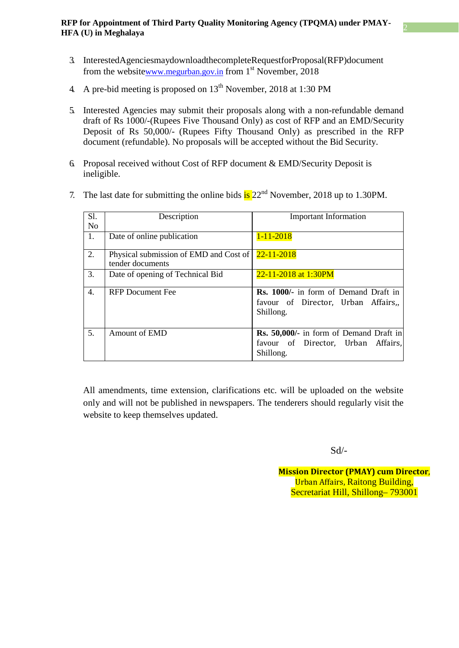- 3. InterestedAgenciesmaydownloadthecompleteRequestforProposal(RFP)document from the websit[ew](http://www.megurban.gov.in/)ww.megurban.gov.in from 1<sup>st</sup> November, 2018
- 4. A pre-bid meeting is proposed on  $13<sup>th</sup>$  November, 2018 at 1:30 PM
- 5. Interested Agencies may submit their proposals along with a non-refundable demand draft of Rs 1000/-(Rupees Five Thousand Only) as cost of RFP and an EMD/Security Deposit of Rs 50,000/- (Rupees Fifty Thousand Only) as prescribed in the RFP document (refundable). No proposals will be accepted without the Bid Security.
- 6. Proposal received without Cost of RFP document & EMD/Security Deposit is ineligible.
- 7. The last date for submitting the online bids  $\frac{1}{18}$  22<sup>nd</sup> November, 2018 up to 1.30PM.

| SI.            | Description                                                           | <b>Important Information</b>                                                                      |
|----------------|-----------------------------------------------------------------------|---------------------------------------------------------------------------------------------------|
| N <sub>o</sub> |                                                                       |                                                                                                   |
| 1.             | Date of online publication                                            | $1 - 11 - 2018$                                                                                   |
| 2.             | Physical submission of EMD and Cost of 22-11-2018<br>tender documents |                                                                                                   |
| 3.             | Date of opening of Technical Bid                                      | 22-11-2018 at 1:30PM                                                                              |
| 4.             | <b>RFP</b> Document Fee                                               | Rs. 1000/- in form of Demand Draft in<br>favour of Director, Urban Affairs,<br>Shillong.          |
| 5.             | Amount of EMD                                                         | <b>Rs. 50,000/-</b> in form of Demand Draft in<br>favour of Director, Urban Affairs,<br>Shillong. |

All amendments, time extension, clarifications etc. will be uploaded on the website only and will not be published in newspapers. The tenderers should regularly visit the website to keep themselves updated.

Sd/-

**Mission Director (PMAY) cum Director**, Urban Affairs, Raitong Building, Secretariat Hill, Shillong– 793001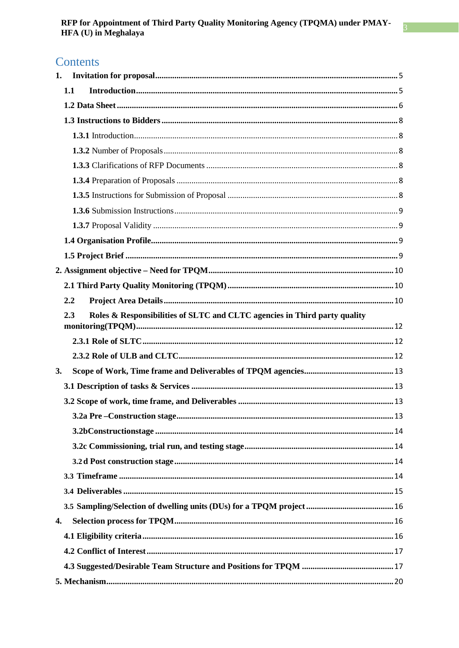### Contents

| 1. |     |                                                                           |  |
|----|-----|---------------------------------------------------------------------------|--|
|    | 1.1 |                                                                           |  |
|    |     |                                                                           |  |
|    |     |                                                                           |  |
|    |     |                                                                           |  |
|    |     |                                                                           |  |
|    |     |                                                                           |  |
|    |     |                                                                           |  |
|    |     |                                                                           |  |
|    |     |                                                                           |  |
|    |     |                                                                           |  |
|    |     |                                                                           |  |
|    |     |                                                                           |  |
|    |     |                                                                           |  |
|    |     |                                                                           |  |
|    | 2.2 |                                                                           |  |
|    | 2.3 | Roles & Responsibilities of SLTC and CLTC agencies in Third party quality |  |
|    |     |                                                                           |  |
|    |     |                                                                           |  |
| 3. |     |                                                                           |  |
|    |     |                                                                           |  |
|    |     |                                                                           |  |
|    |     |                                                                           |  |
|    |     |                                                                           |  |
|    |     |                                                                           |  |
|    |     |                                                                           |  |
|    |     |                                                                           |  |
|    |     |                                                                           |  |
|    |     |                                                                           |  |
| 4. |     |                                                                           |  |
|    |     |                                                                           |  |
|    |     |                                                                           |  |
|    |     |                                                                           |  |
|    |     |                                                                           |  |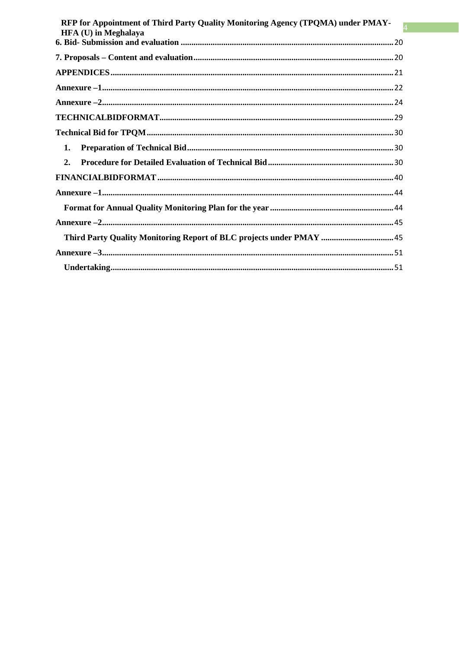| RFP for Appointment of Third Party Quality Monitoring Agency (TPQMA) under PMAY-<br><b>HFA (U)</b> in Meghalaya |  |
|-----------------------------------------------------------------------------------------------------------------|--|
|                                                                                                                 |  |
|                                                                                                                 |  |
|                                                                                                                 |  |
|                                                                                                                 |  |
|                                                                                                                 |  |
|                                                                                                                 |  |
|                                                                                                                 |  |
| 1.                                                                                                              |  |
| $\overline{2}$ .                                                                                                |  |
|                                                                                                                 |  |
|                                                                                                                 |  |
|                                                                                                                 |  |
|                                                                                                                 |  |
| Third Party Quality Monitoring Report of BLC projects under PMAY 45                                             |  |
|                                                                                                                 |  |
|                                                                                                                 |  |
|                                                                                                                 |  |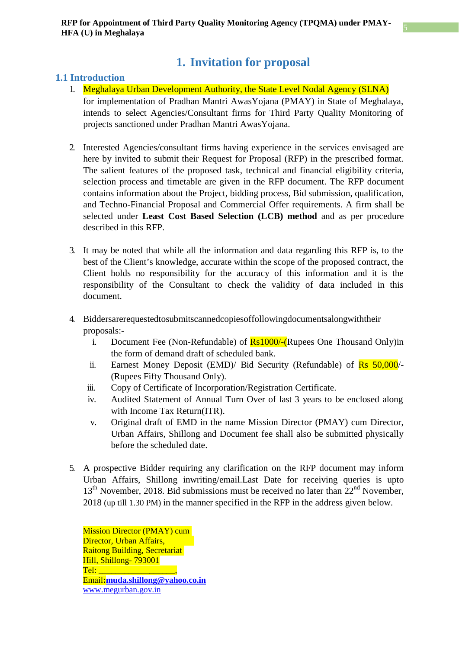### **1. Invitation for proposal**

### <span id="page-5-0"></span>**1.1 Introduction**

- 1. Meghalaya Urban Development Authority, the State Level Nodal Agency (SLNA) for implementation of Pradhan Mantri AwasYojana (PMAY) in State of Meghalaya, intends to select Agencies/Consultant firms for Third Party Quality Monitoring of projects sanctioned under Pradhan Mantri AwasYojana.
- 2. Interested Agencies/consultant firms having experience in the services envisaged are here by invited to submit their Request for Proposal (RFP) in the prescribed format. The salient features of the proposed task, technical and financial eligibility criteria, selection process and timetable are given in the RFP document. The RFP document contains information about the Project, bidding process, Bid submission, qualification, and Techno-Financial Proposal and Commercial Offer requirements. A firm shall be selected under **Least Cost Based Selection (LCB) method** and as per procedure described in this RFP.
- 3. It may be noted that while all the information and data regarding this RFP is, to the best of the Client's knowledge, accurate within the scope of the proposed contract, the Client holds no responsibility for the accuracy of this information and it is the responsibility of the Consultant to check the validity of data included in this document.
- 4. Biddersarerequestedtosubmitscannedcopiesoffollowingdocumentsalongwiththeir proposals:
	- i. Document Fee (Non-Refundable) of  $\frac{Rs1000}{\cdot}$ (Rupees One Thousand Only)in the form of demand draft of scheduled bank.
	- ii. Earnest Money Deposit (EMD)/ Bid Security (Refundable) of  $\overline{Rs}$  50,000/-(Rupees Fifty Thousand Only).
	- iii. Copy of Certificate of Incorporation/Registration Certificate.
	- iv. Audited Statement of Annual Turn Over of last 3 years to be enclosed along with Income Tax Return(ITR).
	- v. Original draft of EMD in the name Mission Director (PMAY) cum Director, Urban Affairs, Shillong and Document fee shall also be submitted physically before the scheduled date.
- 5. A prospective Bidder requiring any clarification on the RFP document may inform Urban Affairs, Shillong inwriting/email.Last Date for receiving queries is upto 13<sup>th</sup> November, 2018. Bid submissions must be received no later than 22<sup>nd</sup> November, 2018 (up till 1.30 PM) in the manner specified in the RFP in the address given below.

Mission Director (PMAY) cum Director, Urban Affairs, Raitong Building, Secretariat Hill, Shillong- 793001  $Tel:$ Email**[:muda.shillong@yahoo.co.in](mailto:muda.shillong@yahoo.co.in)** [www.megurban.gov.in](mailto:muda.shillong@yahoo.co.in)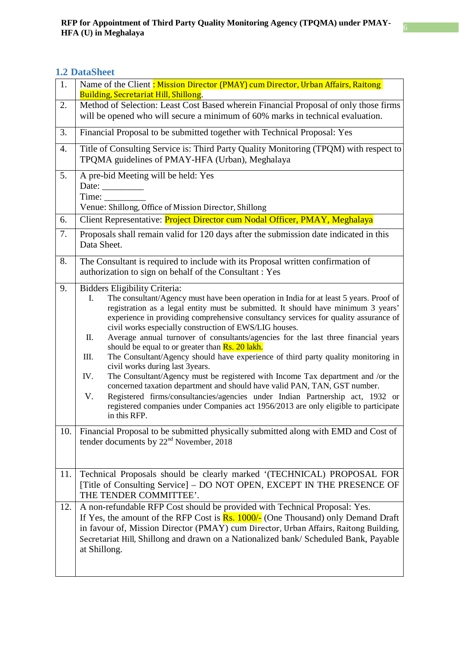### <span id="page-6-0"></span>**1.2 DataSheet**

| 1.  | Name of the Client: Mission Director (PMAY) cum Director, Urban Affairs, Raitong<br>Building, Secretariat Hill, Shillong.                                                                                                                                                                                                                                                                                                                                                                                                                                                                                                                                                                                                                                                                                                                                                                                                                                                                                                           |  |  |
|-----|-------------------------------------------------------------------------------------------------------------------------------------------------------------------------------------------------------------------------------------------------------------------------------------------------------------------------------------------------------------------------------------------------------------------------------------------------------------------------------------------------------------------------------------------------------------------------------------------------------------------------------------------------------------------------------------------------------------------------------------------------------------------------------------------------------------------------------------------------------------------------------------------------------------------------------------------------------------------------------------------------------------------------------------|--|--|
| 2.  | Method of Selection: Least Cost Based wherein Financial Proposal of only those firms<br>will be opened who will secure a minimum of 60% marks in technical evaluation.                                                                                                                                                                                                                                                                                                                                                                                                                                                                                                                                                                                                                                                                                                                                                                                                                                                              |  |  |
| 3.  | Financial Proposal to be submitted together with Technical Proposal: Yes                                                                                                                                                                                                                                                                                                                                                                                                                                                                                                                                                                                                                                                                                                                                                                                                                                                                                                                                                            |  |  |
| 4.  | Title of Consulting Service is: Third Party Quality Monitoring (TPQM) with respect to<br>TPQMA guidelines of PMAY-HFA (Urban), Meghalaya                                                                                                                                                                                                                                                                                                                                                                                                                                                                                                                                                                                                                                                                                                                                                                                                                                                                                            |  |  |
| 5.  | A pre-bid Meeting will be held: Yes<br>Date: $\_\_$<br>Time:<br>Venue: Shillong, Office of Mission Director, Shillong                                                                                                                                                                                                                                                                                                                                                                                                                                                                                                                                                                                                                                                                                                                                                                                                                                                                                                               |  |  |
| 6.  | Client Representative: Project Director cum Nodal Officer, PMAY, Meghalaya                                                                                                                                                                                                                                                                                                                                                                                                                                                                                                                                                                                                                                                                                                                                                                                                                                                                                                                                                          |  |  |
| 7.  | Proposals shall remain valid for 120 days after the submission date indicated in this<br>Data Sheet.                                                                                                                                                                                                                                                                                                                                                                                                                                                                                                                                                                                                                                                                                                                                                                                                                                                                                                                                |  |  |
| 8.  | The Consultant is required to include with its Proposal written confirmation of<br>authorization to sign on behalf of the Consultant : Yes                                                                                                                                                                                                                                                                                                                                                                                                                                                                                                                                                                                                                                                                                                                                                                                                                                                                                          |  |  |
| 9.  | <b>Bidders Eligibility Criteria:</b><br>The consultant/Agency must have been operation in India for at least 5 years. Proof of<br>I.<br>registration as a legal entity must be submitted. It should have minimum 3 years'<br>experience in providing comprehensive consultancy services for quality assurance of<br>civil works especially construction of EWS/LIG houses.<br>Average annual turnover of consultants/agencies for the last three financial years<br>П.<br>should be equal to or greater than <b>Rs. 20 lakh.</b><br>The Consultant/Agency should have experience of third party quality monitoring in<br>Ш.<br>civil works during last 3years.<br>The Consultant/Agency must be registered with Income Tax department and /or the<br>IV.<br>concerned taxation department and should have valid PAN, TAN, GST number.<br>V.<br>Registered firms/consultancies/agencies under Indian Partnership act, 1932 or<br>registered companies under Companies act 1956/2013 are only eligible to participate<br>in this RFP. |  |  |
| 10. | Financial Proposal to be submitted physically submitted along with EMD and Cost of<br>tender documents by 22 <sup>nd</sup> November, 2018                                                                                                                                                                                                                                                                                                                                                                                                                                                                                                                                                                                                                                                                                                                                                                                                                                                                                           |  |  |
| 11. | Technical Proposals should be clearly marked '(TECHNICAL) PROPOSAL FOR<br>[Title of Consulting Service] – DO NOT OPEN, EXCEPT IN THE PRESENCE OF<br>THE TENDER COMMITTEE'.                                                                                                                                                                                                                                                                                                                                                                                                                                                                                                                                                                                                                                                                                                                                                                                                                                                          |  |  |
| 12. | A non-refundable RFP Cost should be provided with Technical Proposal: Yes.<br>If Yes, the amount of the RFP Cost is $\frac{Rs}{1000/-}$ (One Thousand) only Demand Draft<br>in favour of, Mission Director (PMAY) cum Director, Urban Affairs, Raitong Building,<br>Secretariat Hill, Shillong and drawn on a Nationalized bank/ Scheduled Bank, Payable<br>at Shillong.                                                                                                                                                                                                                                                                                                                                                                                                                                                                                                                                                                                                                                                            |  |  |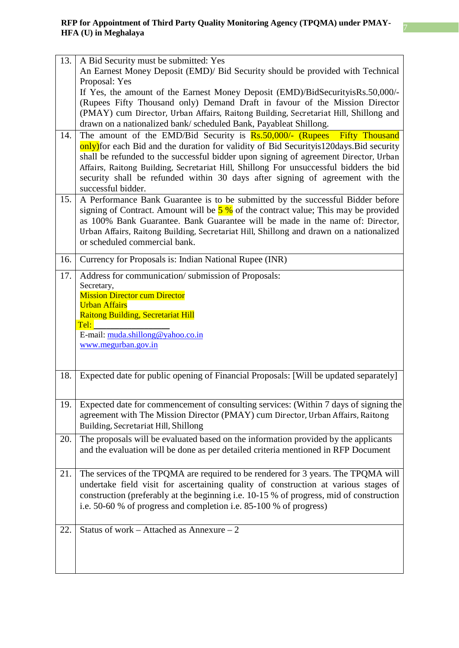| 13. | A Bid Security must be submitted: Yes                                                                                                                         |
|-----|---------------------------------------------------------------------------------------------------------------------------------------------------------------|
|     | An Earnest Money Deposit (EMD)/ Bid Security should be provided with Technical                                                                                |
|     | Proposal: Yes                                                                                                                                                 |
|     | If Yes, the amount of the Earnest Money Deposit (EMD)/BidSecurityisRs.50,000/-                                                                                |
|     | (Rupees Fifty Thousand only) Demand Draft in favour of the Mission Director                                                                                   |
|     | (PMAY) cum Director, Urban Affairs, Raitong Building, Secretariat Hill, Shillong and<br>drawn on a nationalized bank/ scheduled Bank, Payableat Shillong.     |
| 14. | The amount of the EMD/Bid Security is Rs.50,000/- (Rupees Fifty Thousand                                                                                      |
|     | only) for each Bid and the duration for validity of Bid Security is 120 days. Bid security                                                                    |
|     | shall be refunded to the successful bidder upon signing of agreement Director, Urban                                                                          |
|     | Affairs, Raitong Building, Secretariat Hill, Shillong For unsuccessful bidders the bid                                                                        |
|     | security shall be refunded within 30 days after signing of agreement with the                                                                                 |
|     | successful bidder.                                                                                                                                            |
| 15. | A Performance Bank Guarantee is to be submitted by the successful Bidder before                                                                               |
|     | signing of Contract. Amount will be $5\%$ of the contract value; This may be provided                                                                         |
|     | as 100% Bank Guarantee. Bank Guarantee will be made in the name of: Director,                                                                                 |
|     | Urban Affairs, Raitong Building, Secretariat Hill, Shillong and drawn on a nationalized<br>or scheduled commercial bank.                                      |
|     |                                                                                                                                                               |
| 16. | Currency for Proposals is: Indian National Rupee (INR)                                                                                                        |
| 17. | Address for communication/submission of Proposals:                                                                                                            |
|     | Secretary,                                                                                                                                                    |
|     | <b>Mission Director cum Director</b><br><b>Urban Affairs</b>                                                                                                  |
|     | <b>Raitong Building, Secretariat Hill</b>                                                                                                                     |
|     | Tel:                                                                                                                                                          |
|     | E-mail: muda.shillong@yahoo.co.in                                                                                                                             |
|     | www.megurban.gov.in                                                                                                                                           |
|     |                                                                                                                                                               |
| 18. | Expected date for public opening of Financial Proposals: [Will be updated separately]                                                                         |
|     |                                                                                                                                                               |
|     |                                                                                                                                                               |
| 19. | Expected date for commencement of consulting services: (Within 7 days of signing the                                                                          |
|     | agreement with The Mission Director (PMAY) cum Director, Urban Affairs, Raitong                                                                               |
|     | Building, Secretariat Hill, Shillong                                                                                                                          |
| 20. | The proposals will be evaluated based on the information provided by the applicants                                                                           |
|     | and the evaluation will be done as per detailed criteria mentioned in RFP Document                                                                            |
|     |                                                                                                                                                               |
| 21. | The services of the TPQMA are required to be rendered for 3 years. The TPQMA will                                                                             |
|     | undertake field visit for ascertaining quality of construction at various stages of                                                                           |
|     | construction (preferably at the beginning i.e. 10-15 % of progress, mid of construction<br>i.e. 50-60 % of progress and completion i.e. 85-100 % of progress) |
|     |                                                                                                                                                               |
| 22. | Status of work – Attached as Annexure – 2                                                                                                                     |
|     |                                                                                                                                                               |
|     |                                                                                                                                                               |
|     |                                                                                                                                                               |
|     |                                                                                                                                                               |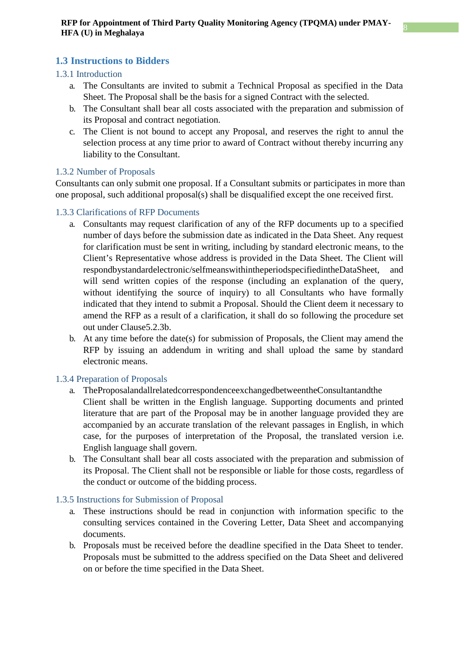### <span id="page-8-0"></span>**1.3 Instructions to Bidders**

### <span id="page-8-1"></span>1.3.1 Introduction

- a. The Consultants are invited to submit a Technical Proposal as specified in the Data Sheet. The Proposal shall be the basis for a signed Contract with the selected.
- b. The Consultant shall bear all costs associated with the preparation and submission of its Proposal and contract negotiation.
- c. The Client is not bound to accept any Proposal, and reserves the right to annul the selection process at any time prior to award of Contract without thereby incurring any liability to the Consultant.

### <span id="page-8-2"></span>1.3.2 Number of Proposals

Consultants can only submit one proposal. If a Consultant submits or participates in more than one proposal, such additional proposal(s) shall be disqualified except the one received first.

### <span id="page-8-3"></span>1.3.3 Clarifications of RFP Documents

- a. Consultants may request clarification of any of the RFP documents up to a specified number of days before the submission date as indicated in the Data Sheet. Any request for clarification must be sent in writing, including by standard electronic means, to the Client's Representative whose address is provided in the Data Sheet. The Client will respondbystandardelectronic/selfmeanswithintheperiodspecifiedintheDataSheet, will send written copies of the response (including an explanation of the query, without identifying the source of inquiry) to all Consultants who have formally indicated that they intend to submit a Proposal. Should the Client deem it necessary to amend the RFP as a result of a clarification, it shall do so following the procedure set out under Clause5.2.3b.
- b. At any time before the date(s) for submission of Proposals, the Client may amend the RFP by issuing an addendum in writing and shall upload the same by standard electronic means.

### <span id="page-8-4"></span>1.3.4 Preparation of Proposals

- a. TheProposalandallrelatedcorrespondenceexchangedbetweentheConsultantandthe Client shall be written in the English language. Supporting documents and printed literature that are part of the Proposal may be in another language provided they are accompanied by an accurate translation of the relevant passages in English, in which case, for the purposes of interpretation of the Proposal, the translated version i.e. English language shall govern.
- b. The Consultant shall bear all costs associated with the preparation and submission of its Proposal. The Client shall not be responsible or liable for those costs, regardless of the conduct or outcome of the bidding process.

#### <span id="page-8-5"></span>1.3.5 Instructions for Submission of Proposal

- a. These instructions should be read in conjunction with information specific to the consulting services contained in the Covering Letter, Data Sheet and accompanying documents.
- b. Proposals must be received before the deadline specified in the Data Sheet to tender. Proposals must be submitted to the address specified on the Data Sheet and delivered on or before the time specified in the Data Sheet.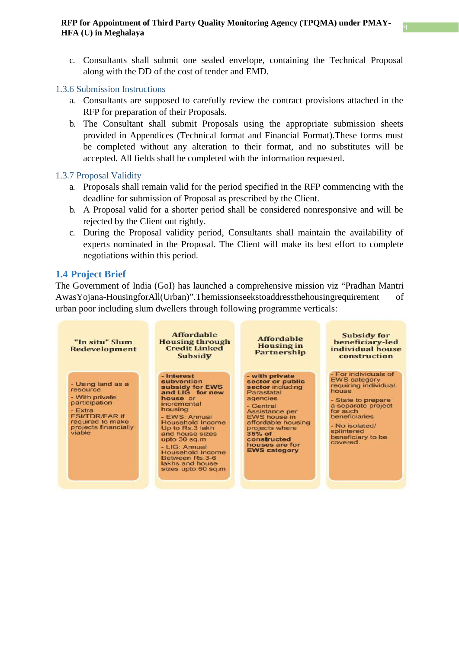c. Consultants shall submit one sealed envelope, containing the Technical Proposal along with the DD of the cost of tender and EMD.

#### <span id="page-9-0"></span>1.3.6 Submission Instructions

- a. Consultants are supposed to carefully review the contract provisions attached in the RFP for preparation of their Proposals.
- b. The Consultant shall submit Proposals using the appropriate submission sheets provided in Appendices (Technical format and Financial Format).These forms must be completed without any alteration to their format, and no substitutes will be accepted. All fields shall be completed with the information requested.

#### <span id="page-9-1"></span>1.3.7 Proposal Validity

- a. Proposals shall remain valid for the period specified in the RFP commencing with the deadline for submission of Proposal as prescribed by the Client.
- b. A Proposal valid for a shorter period shall be considered nonresponsive and will be rejected by the Client out rightly.
- c. During the Proposal validity period, Consultants shall maintain the availability of experts nominated in the Proposal. The Client will make its best effort to complete negotiations within this period.

#### <span id="page-9-2"></span>**1.4 Project Brief**

The Government of India (GoI) has launched a comprehensive mission viz "Pradhan Mantri AwasYojana-HousingforAll(Urban)".Themissionseekstoaddressthehousingrequirement of urban poor including slum dwellers through following programme verticals:

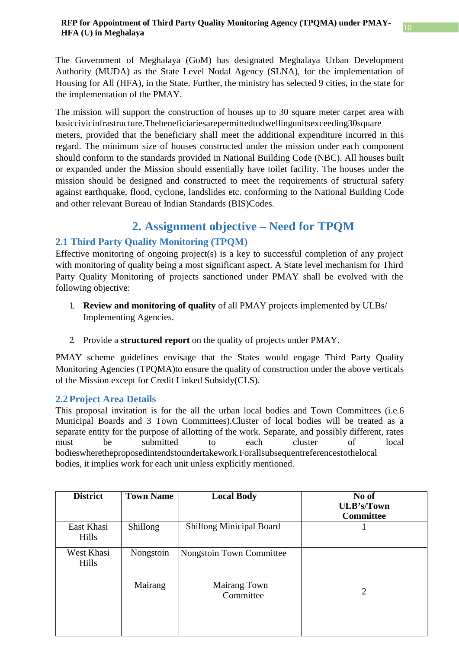The Government of Meghalaya (GoM) has designated Meghalaya Urban Development Authority (MUDA) as the State Level Nodal Agency (SLNA), for the implementation of Housing for All (HFA), in the State. Further, the ministry has selected 9 cities, in the state for the implementation of the PMAY.

The mission will support the construction of houses up to 30 square meter carpet area with basiccivicinfrastructure.Thebeneficiariesarepermittedtodwellingunitsexceeding30square meters, provided that the beneficiary shall meet the additional expenditure incurred in this regard. The minimum size of houses constructed under the mission under each component should conform to the standards provided in National Building Code (NBC). All houses built or expanded under the Mission should essentially have toilet facility. The houses under the mission should be designed and constructed to meet the requirements of structural safety against earthquake, flood, cyclone, landslides etc. conforming to the National Building Code and other relevant Bureau of Indian Standards (BIS)Codes.

## **2. Assignment objective – Need for TPQM**

### <span id="page-10-1"></span><span id="page-10-0"></span>**2.1 Third Party Quality Monitoring (TPQM)**

Effective monitoring of ongoing project(s) is a key to successful completion of any project with monitoring of quality being a most significant aspect. A State level mechanism for Third Party Quality Monitoring of projects sanctioned under PMAY shall be evolved with the following objective:

- 1. **Review and monitoring of quality** of all PMAY projects implemented by ULBs/ Implementing Agencies.
- 2. Provide a **structured report** on the quality of projects under PMAY.

PMAY scheme guidelines envisage that the States would engage Third Party Quality Monitoring Agencies (TPQMA)to ensure the quality of construction under the above verticals of the Mission except for Credit Linked Subsidy(CLS).

### <span id="page-10-2"></span>**2.2 Project Area Details**

This proposal invitation is for the all the urban local bodies and Town Committees (i.e.6 Municipal Boards and 3 Town Committees).Cluster of local bodies will be treated as a separate entity for the purpose of allotting of the work. Separate, and possibly different, rates must be submitted to each cluster of local bodieswheretheproposedintendstoundertakework.Forallsubsequentreferencestothelocal bodies, it implies work for each unit unless explicitly mentioned.

| <b>Town Name</b> | <b>Local Body</b>               | No of<br><b>ULB's/Town</b><br><b>Committee</b> |
|------------------|---------------------------------|------------------------------------------------|
| Shillong         | <b>Shillong Minicipal Board</b> |                                                |
| Nongstoin        |                                 |                                                |
| Mairang          | Mairang Town<br>Committee       | 2                                              |
|                  |                                 | Nongstoin Town Committee                       |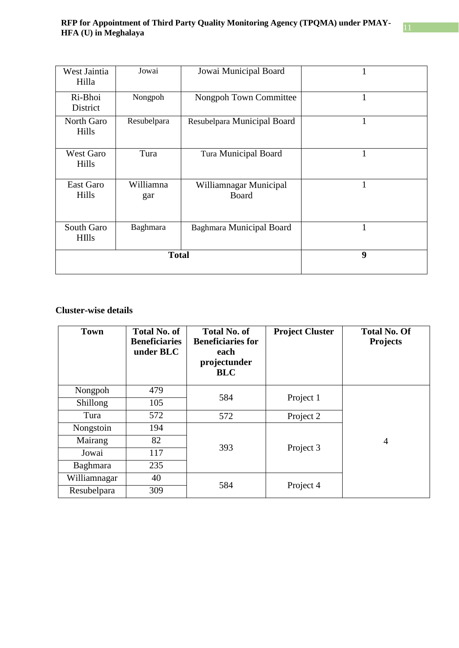| West Jaintia<br>Hilla                                    | Jowai Municipal Board<br>Jowai |                                        | 1 |
|----------------------------------------------------------|--------------------------------|----------------------------------------|---|
| Nongpoh<br>Ri-Bhoi<br>Nongpoh Town Committee<br>District |                                | 1                                      |   |
| Resubelpara<br>North Garo<br>Hills                       |                                | Resubelpara Municipal Board            | 1 |
| <b>West Garo</b><br>Hills                                | Tura                           | <b>Tura Municipal Board</b>            | 1 |
| East Garo<br>Hills                                       | Williamna<br>gar               | Williamnagar Municipal<br><b>Board</b> | 1 |
| South Garo<br><b>HIlls</b>                               | Baghmara                       | <b>Baghmara Municipal Board</b>        | 1 |
|                                                          | <b>Total</b>                   | 9                                      |   |

### **Cluster-wise details**

| <b>Town</b>     | <b>Total No. of</b><br><b>Beneficiaries</b><br>under BLC | <b>Total No. of</b><br><b>Beneficiaries for</b><br>each<br>projectunder<br><b>BLC</b> | <b>Project Cluster</b> | <b>Total No. Of</b><br><b>Projects</b> |
|-----------------|----------------------------------------------------------|---------------------------------------------------------------------------------------|------------------------|----------------------------------------|
| Nongpoh         | 479                                                      |                                                                                       |                        |                                        |
| <b>Shillong</b> | 105                                                      | 584                                                                                   | Project 1              |                                        |
| Tura            | 572                                                      | 572                                                                                   | Project 2              |                                        |
| Nongstoin       | 194                                                      |                                                                                       |                        |                                        |
| Mairang         | 82                                                       |                                                                                       |                        | $\overline{4}$                         |
| Jowai           | 117                                                      | Project 3<br>393                                                                      |                        |                                        |
| <b>Baghmara</b> | 235                                                      |                                                                                       |                        |                                        |
| Williamnagar    | 40                                                       | 584                                                                                   |                        |                                        |
| Resubelpara     | 309                                                      |                                                                                       | Project 4              |                                        |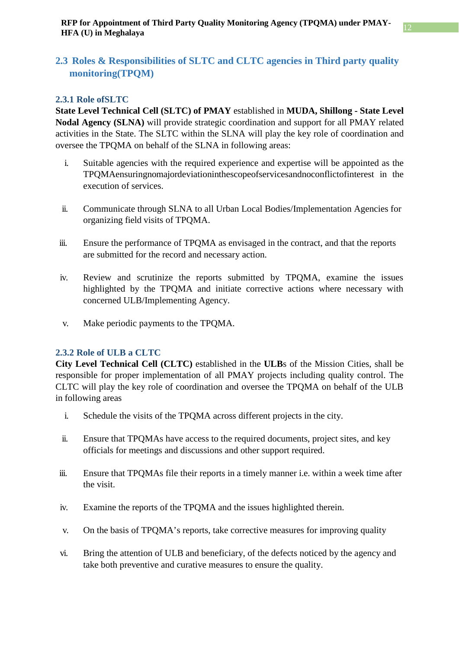### <span id="page-12-0"></span>**2.3 Roles & Responsibilities of SLTC and CLTC agencies in Third party quality monitoring(TPQM)**

### <span id="page-12-1"></span>**2.3.1 Role ofSLTC**

**State Level Technical Cell (SLTC) of PMAY** established in **MUDA, Shillong - State Level Nodal Agency (SLNA)** will provide strategic coordination and support for all PMAY related activities in the State. The SLTC within the SLNA will play the key role of coordination and oversee the TPQMA on behalf of the SLNA in following areas:

- i. Suitable agencies with the required experience and expertise will be appointed as the TPQMAensuringnomajordeviationinthescopeofservicesandnoconflictofinterest in the execution of services.
- ii. Communicate through SLNA to all Urban Local Bodies/Implementation Agencies for organizing field visits of TPQMA.
- iii. Ensure the performance of TPQMA as envisaged in the contract, and that the reports are submitted for the record and necessary action.
- iv. Review and scrutinize the reports submitted by TPQMA, examine the issues highlighted by the TPQMA and initiate corrective actions where necessary with concerned ULB/Implementing Agency.
- v. Make periodic payments to the TPQMA.

### <span id="page-12-2"></span>**2.3.2 Role of ULB a CLTC**

**City Level Technical Cell (CLTC)** established in the **ULB**s of the Mission Cities, shall be responsible for proper implementation of all PMAY projects including quality control. The CLTC will play the key role of coordination and oversee the TPQMA on behalf of the ULB in following areas

- i. Schedule the visits of the TPQMA across different projects in the city.
- ii. Ensure that TPQMAs have access to the required documents, project sites, and key officials for meetings and discussions and other support required.
- iii. Ensure that TPQMAs file their reports in a timely manner i.e. within a week time after the visit.
- iv. Examine the reports of the TPQMA and the issues highlighted therein.
- v. On the basis of TPQMA's reports, take corrective measures for improving quality
- vi. Bring the attention of ULB and beneficiary, of the defects noticed by the agency and take both preventive and curative measures to ensure the quality.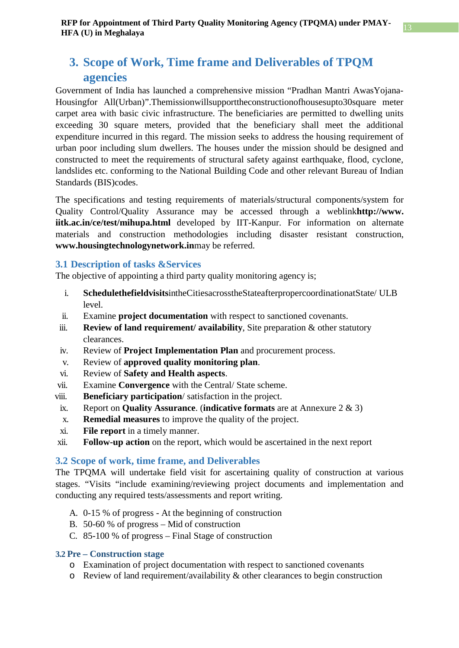## <span id="page-13-0"></span>**3. Scope of Work, Time frame and Deliverables of TPQM agencies**

Government of India has launched a comprehensive mission "Pradhan Mantri AwasYojana-Housingfor All(Urban)".Themissionwillsupporttheconstructionofhousesupto30square meter carpet area with basic civic infrastructure. The beneficiaries are permitted to dwelling units exceeding 30 square meters, provided that the beneficiary shall meet the additional expenditure incurred in this regard. The mission seeks to address the housing requirement of urban poor including slum dwellers. The houses under the mission should be designed and constructed to meet the requirements of structural safety against earthquake, flood, cyclone, landslides etc. conforming to the National Building Code and other relevant Bureau of Indian Standards (BIS)codes.

The specifications and testing requirements of materials/structural components/system for Quality Control/Quality Assurance may be accessed through a weblink**[http://www.](http://www/) iitk.ac.in/ce/test/mihupa.html** developed by IIT-Kanpur. For information on alternate materials and construction methodologies including disaster resistant construction, **[www.h](http://www/)ousingtechnologynetwork.in**may be referred.

### <span id="page-13-1"></span>**3.1 Description of tasks &Services**

The objective of appointing a third party quality monitoring agency is;

- i. **Schedulethefieldvisits**intheCitiesacrosstheStateafterpropercoordinationatState/ ULB level.
- ii. Examine **project documentation** with respect to sanctioned covenants.
- iii. **Review of land requirement/ availability**, Site preparation & other statutory clearances.
- iv. Review of **Project Implementation Plan** and procurement process.
- v. Review of **approved quality monitoring plan**.
- vi. Review of **Safety and Health aspects**.
- vii. Examine **Convergence** with the Central/ State scheme.
- viii. **Beneficiary participation**/ satisfaction in the project.
- ix. Report on **Quality Assurance**. (**indicative formats** are at Annexure 2 & 3)
- x. **Remedial measures** to improve the quality of the project.
- xi. **File report** in a timely manner.
- xii. **Follow-up action** on the report, which would be ascertained in the next report

### <span id="page-13-2"></span>**3.2 Scope of work, time frame, and Deliverables**

The TPQMA will undertake field visit for ascertaining quality of construction at various stages. "Visits "include examining/reviewing project documents and implementation and conducting any required tests/assessments and report writing.

- A. 0-15 % of progress At the beginning of construction
- B. 50-60 % of progress Mid of construction
- C. 85-100 % of progress Final Stage of construction

### <span id="page-13-3"></span>**3.2 Pre – Construction stage**

- o Examination of project documentation with respect to sanctioned covenants
- o Review of land requirement/availability & other clearances to begin construction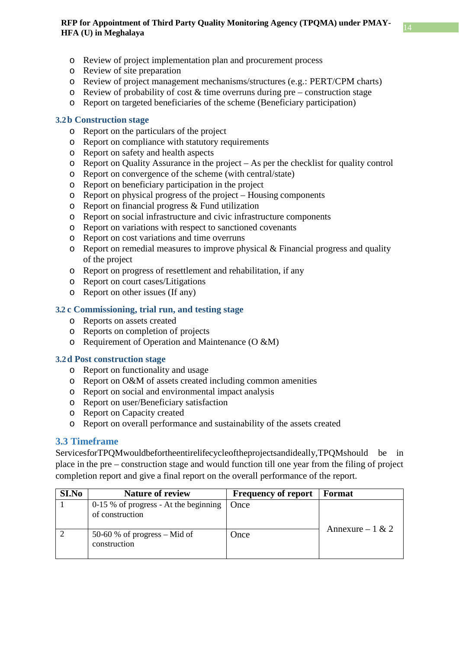- o Review of project implementation plan and procurement process
- o Review of site preparation
- o Review of project management mechanisms/structures (e.g.: PERT/CPM charts)
- $\circ$  Review of probability of cost & time overruns during pre construction stage
- o Report on targeted beneficiaries of the scheme (Beneficiary participation)

### <span id="page-14-0"></span>**3.2b Construction stage**

- o Report on the particulars of the project
- o Report on compliance with statutory requirements
- o Report on safety and health aspects
- o Report on Quality Assurance in the project As per the checklist for quality control
- o Report on convergence of the scheme (with central/state)
- o Report on beneficiary participation in the project
- o Report on physical progress of the project Housing components
- o Report on financial progress & Fund utilization
- o Report on social infrastructure and civic infrastructure components
- o Report on variations with respect to sanctioned covenants
- o Report on cost variations and time overruns
- o Report on remedial measures to improve physical & Financial progress and quality of the project
- o Report on progress of resettlement and rehabilitation, if any
- o Report on court cases/Litigations
- o Report on other issues (If any)

### <span id="page-14-1"></span>**3.2 c Commissioning, trial run, and testing stage**

- o Reports on assets created
- o Reports on completion of projects
- o Requirement of Operation and Maintenance (O &M)

#### <span id="page-14-2"></span>**3.2d Post construction stage**

- o Report on functionality and usage
- o Report on O&M of assets created including common amenities
- o Report on social and environmental impact analysis
- o Report on user/Beneficiary satisfaction
- o Report on Capacity created
- o Report on overall performance and sustainability of the assets created

### <span id="page-14-3"></span>**3.3 Timeframe**

ServicesforTPQMwouldbefortheentirelifecycleoftheprojectsandideally,TPQMshould be in place in the pre – construction stage and would function till one year from the filing of project completion report and give a final report on the overall performance of the report.

| <b>SI.No</b> | <b>Nature of review</b>                                    | <b>Frequency of report</b> | Format            |
|--------------|------------------------------------------------------------|----------------------------|-------------------|
|              | $0-15$ % of progress - At the beginning<br>of construction | Once                       | Annexure $-1 & 2$ |
|              | 50-60 % of progress $-$ Mid of<br>construction             | Once                       |                   |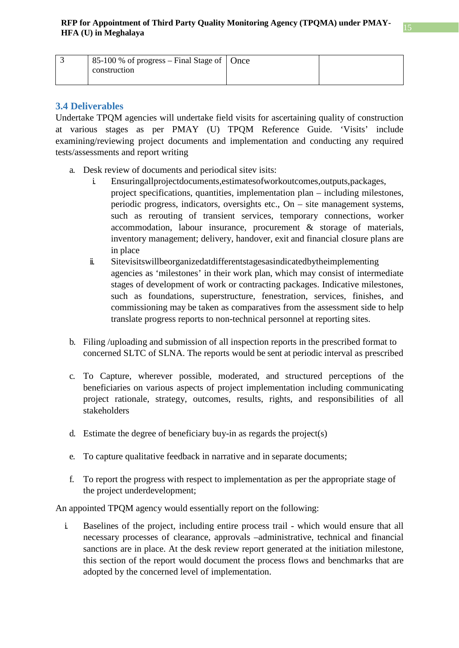| 85-100 % of progress – Final Stage of $\vert$ Once |  |
|----------------------------------------------------|--|
| construction                                       |  |
|                                                    |  |

### <span id="page-15-0"></span>**3.4 Deliverables**

Undertake TPQM agencies will undertake field visits for ascertaining quality of construction at various stages as per PMAY (U) TPQM Reference Guide. 'Visits' include examining/reviewing project documents and implementation and conducting any required tests/assessments and report writing

- a. Desk review of documents and periodical sitev isits:
	- i. Ensuringallprojectdocuments,estimatesofworkoutcomes,outputs,packages, project specifications, quantities, implementation plan – including milestones, periodic progress, indicators, oversights etc., On – site management systems, such as rerouting of transient services, temporary connections, worker accommodation, labour insurance, procurement & storage of materials, inventory management; delivery, handover, exit and financial closure plans are in place
	- ii. Sitevisitswillbeorganizedatdifferentstagesasindicatedbytheimplementing agencies as 'milestones' in their work plan, which may consist of intermediate stages of development of work or contracting packages. Indicative milestones, such as foundations, superstructure, fenestration, services, finishes, and commissioning may be taken as comparatives from the assessment side to help translate progress reports to non-technical personnel at reporting sites.
- b. Filing /uploading and submission of all inspection reports in the prescribed format to concerned SLTC of SLNA. The reports would be sent at periodic interval as prescribed
- c. To Capture, wherever possible, moderated, and structured perceptions of the beneficiaries on various aspects of project implementation including communicating project rationale, strategy, outcomes, results, rights, and responsibilities of all stakeholders
- d. Estimate the degree of beneficiary buy-in as regards the project(s)
- e. To capture qualitative feedback in narrative and in separate documents;
- f. To report the progress with respect to implementation as per the appropriate stage of the project underdevelopment;

An appointed TPQM agency would essentially report on the following:

i. Baselines of the project, including entire process trail - which would ensure that all necessary processes of clearance, approvals –administrative, technical and financial sanctions are in place. At the desk review report generated at the initiation milestone, this section of the report would document the process flows and benchmarks that are adopted by the concerned level of implementation.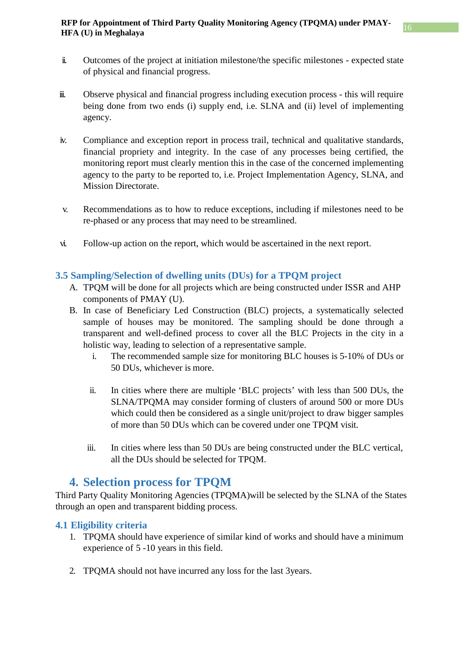- ii. Outcomes of the project at initiation milestone/the specific milestones expected state of physical and financial progress.
- iii. Observe physical and financial progress including execution process this will require being done from two ends (i) supply end, i.e. SLNA and (ii) level of implementing agency.
- iv. Compliance and exception report in process trail, technical and qualitative standards, financial propriety and integrity. In the case of any processes being certified, the monitoring report must clearly mention this in the case of the concerned implementing agency to the party to be reported to, i.e. Project Implementation Agency, SLNA, and Mission Directorate.
- v. Recommendations as to how to reduce exceptions, including if milestones need to be re-phased or any process that may need to be streamlined.
- vi. Follow-up action on the report, which would be ascertained in the next report.

### <span id="page-16-0"></span>**3.5 Sampling/Selection of dwelling units (DUs) for a TPQM project**

- A. TPQM will be done for all projects which are being constructed under ISSR and AHP components of PMAY (U).
- B. In case of Beneficiary Led Construction (BLC) projects, a systematically selected sample of houses may be monitored. The sampling should be done through a transparent and well-defined process to cover all the BLC Projects in the city in a holistic way, leading to selection of a representative sample.
	- i. The recommended sample size for monitoring BLC houses is 5-10% of DUs or 50 DUs, whichever is more.
	- ii. In cities where there are multiple 'BLC projects' with less than 500 DUs, the SLNA/TPQMA may consider forming of clusters of around 500 or more DUs which could then be considered as a single unit/project to draw bigger samples of more than 50 DUs which can be covered under one TPQM visit.
	- iii. In cities where less than 50 DUs are being constructed under the BLC vertical, all the DUs should be selected for TPQM.

### **4. Selection process for TPQM**

<span id="page-16-1"></span>Third Party Quality Monitoring Agencies (TPQMA)will be selected by the SLNA of the States through an open and transparent bidding process.

### <span id="page-16-2"></span>**4.1 Eligibility criteria**

- 1. TPQMA should have experience of similar kind of works and should have a minimum experience of 5 -10 years in this field.
- 2. TPQMA should not have incurred any loss for the last 3years.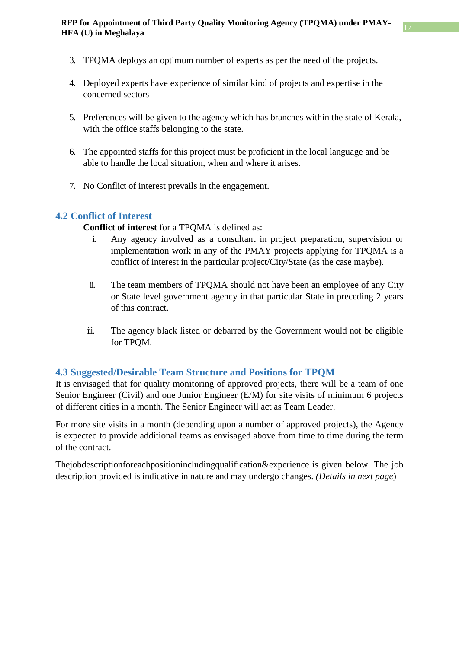- 3. TPQMA deploys an optimum number of experts as per the need of the projects.
- 4. Deployed experts have experience of similar kind of projects and expertise in the concerned sectors
- 5. Preferences will be given to the agency which has branches within the state of Kerala, with the office staffs belonging to the state.
- 6. The appointed staffs for this project must be proficient in the local language and be able to handle the local situation, when and where it arises.
- 7. No Conflict of interest prevails in the engagement.

### <span id="page-17-0"></span>**4.2 Conflict of Interest**

**Conflict of interest** for a TPQMA is defined as:

- i. Any agency involved as a consultant in project preparation, supervision or implementation work in any of the PMAY projects applying for TPQMA is a conflict of interest in the particular project/City/State (as the case maybe).
- ii. The team members of TPQMA should not have been an employee of any City or State level government agency in that particular State in preceding 2 years of this contract.
- iii. The agency black listed or debarred by the Government would not be eligible for TPQM.

### <span id="page-17-1"></span>**4.3 Suggested/Desirable Team Structure and Positions for TPQM**

It is envisaged that for quality monitoring of approved projects, there will be a team of one Senior Engineer (Civil) and one Junior Engineer (E/M) for site visits of minimum 6 projects of different cities in a month. The Senior Engineer will act as Team Leader.

For more site visits in a month (depending upon a number of approved projects), the Agency is expected to provide additional teams as envisaged above from time to time during the term of the contract.

Thejobdescriptionforeachpositionincludingqualification&experience is given below. The job description provided is indicative in nature and may undergo changes. *(Details in next page*)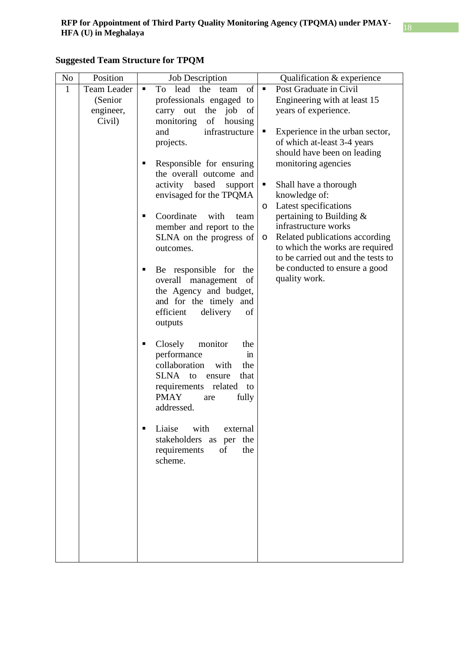| No           | Position    | <b>Job Description</b>                       |         | Qualification & experience         |
|--------------|-------------|----------------------------------------------|---------|------------------------------------|
| $\mathbf{1}$ | Team Leader | of<br>To lead<br>the<br>٠<br>team            | ٠       | Post Graduate in Civil             |
|              | (Senior     | professionals engaged to                     |         | Engineering with at least 15       |
|              | engineer,   | carry out<br>of<br>the job                   |         | years of experience.               |
|              | Civil)      | of<br>monitoring<br>housing                  |         |                                    |
|              |             | infrastructure<br>and                        |         | Experience in the urban sector,    |
|              |             | projects.                                    |         | of which at-least 3-4 years        |
|              |             |                                              |         | should have been on leading        |
|              |             | Responsible for ensuring                     |         | monitoring agencies                |
|              |             | the overall outcome and                      |         |                                    |
|              |             | activity based<br>support                    | п       | Shall have a thorough              |
|              |             | envisaged for the TPQMA                      |         | knowledge of:                      |
|              |             |                                              | $\circ$ | Latest specifications              |
|              |             | Coordinate<br>with<br>п<br>team              |         | pertaining to Building &           |
|              |             | member and report to the                     |         | infrastructure works               |
|              |             | SLNA on the progress of                      | $\circ$ | Related publications according     |
|              |             | outcomes.                                    |         | to which the works are required    |
|              |             |                                              |         | to be carried out and the tests to |
|              |             | Be responsible for<br>the                    |         | be conducted to ensure a good      |
|              |             | overall management<br>of                     |         | quality work.                      |
|              |             | the Agency and budget,                       |         |                                    |
|              |             | and for the timely and                       |         |                                    |
|              |             | efficient<br>delivery<br>of                  |         |                                    |
|              |             | outputs                                      |         |                                    |
|              |             |                                              |         |                                    |
|              |             | Closely<br>monitor<br>the<br>п               |         |                                    |
|              |             | performance<br>in                            |         |                                    |
|              |             | collaboration<br>with<br>the                 |         |                                    |
|              |             | <b>SLNA</b><br>that<br>to<br>ensure          |         |                                    |
|              |             | requirements<br>related<br>to<br><b>PMAY</b> |         |                                    |
|              |             | fully<br>are<br>addressed.                   |         |                                    |
|              |             |                                              |         |                                    |
|              |             | Liaise with<br>external                      |         |                                    |
|              |             | stakeholders as per the                      |         |                                    |
|              |             | the<br>requirements<br>of                    |         |                                    |
|              |             | scheme.                                      |         |                                    |
|              |             |                                              |         |                                    |
|              |             |                                              |         |                                    |
|              |             |                                              |         |                                    |
|              |             |                                              |         |                                    |
|              |             |                                              |         |                                    |
|              |             |                                              |         |                                    |
|              |             |                                              |         |                                    |
|              |             |                                              |         |                                    |
|              |             |                                              |         |                                    |

### **Suggested Team Structure for TPQM**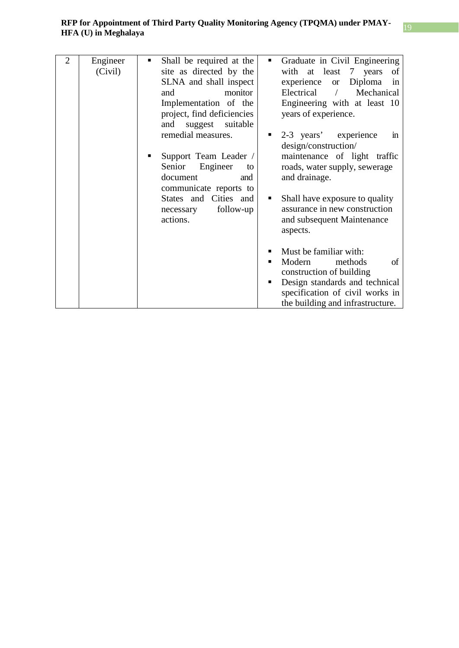| $\overline{2}$ | Engineer | Shall be required at the<br>٠ | Graduate in Civil Engineering<br>ш           |
|----------------|----------|-------------------------------|----------------------------------------------|
|                | (Civil)  | site as directed by the       | with at least 7 years<br>of                  |
|                |          | SLNA and shall inspect        | Diploma<br>experience<br><sub>or</sub><br>in |
|                |          | monitor<br>and                | Electrical<br>Mechanical                     |
|                |          | Implementation of the         | Engineering with at least 10                 |
|                |          | project, find deficiencies    | years of experience.                         |
|                |          | suitable<br>suggest<br>and    |                                              |
|                |          | remedial measures.            | 2-3 years' experience<br>$\mathbf{m}$        |
|                |          |                               | design/construction/                         |
|                |          | Support Team Leader /         | maintenance of light traffic                 |
|                |          | Senior<br>Engineer<br>to      | roads, water supply, sewerage                |
|                |          | document<br>and               | and drainage.                                |
|                |          | communicate reports to        |                                              |
|                |          | States and Cities and         | Shall have exposure to quality<br>ш          |
|                |          | follow-up<br>necessary        | assurance in new construction                |
|                |          | actions.                      | and subsequent Maintenance                   |
|                |          |                               | aspects.                                     |
|                |          |                               |                                              |
|                |          |                               | Must be familiar with:                       |
|                |          |                               | Modern<br>of<br>methods                      |
|                |          |                               | construction of building                     |
|                |          |                               | Design standards and technical               |
|                |          |                               | specification of civil works in              |
|                |          |                               | the building and infrastructure.             |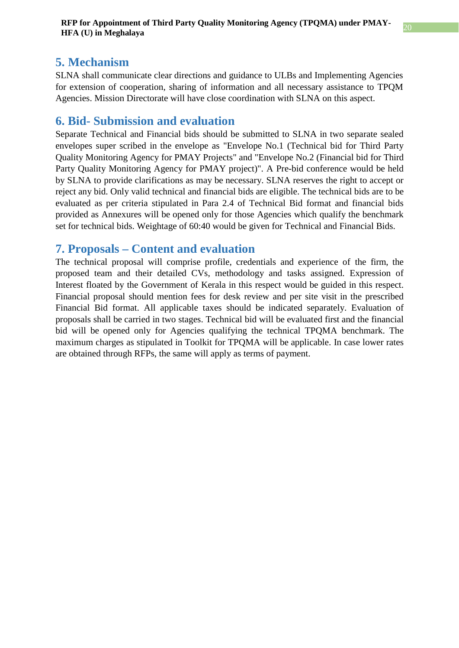### <span id="page-20-0"></span>**5. Mechanism**

SLNA shall communicate clear directions and guidance to ULBs and Implementing Agencies for extension of cooperation, sharing of information and all necessary assistance to TPQM Agencies. Mission Directorate will have close coordination with SLNA on this aspect.

### <span id="page-20-1"></span>**6. Bid- Submission and evaluation**

Separate Technical and Financial bids should be submitted to SLNA in two separate sealed envelopes super scribed in the envelope as "Envelope No.1 (Technical bid for Third Party Quality Monitoring Agency for PMAY Projects" and "Envelope No.2 (Financial bid for Third Party Quality Monitoring Agency for PMAY project)". A Pre-bid conference would be held by SLNA to provide clarifications as may be necessary. SLNA reserves the right to accept or reject any bid. Only valid technical and financial bids are eligible. The technical bids are to be evaluated as per criteria stipulated in Para 2.4 of Technical Bid format and financial bids provided as Annexures will be opened only for those Agencies which qualify the benchmark set for technical bids. Weightage of 60:40 would be given for Technical and Financial Bids.

### <span id="page-20-2"></span>**7. Proposals – Content and evaluation**

The technical proposal will comprise profile, credentials and experience of the firm, the proposed team and their detailed CVs, methodology and tasks assigned. Expression of Interest floated by the Government of Kerala in this respect would be guided in this respect. Financial proposal should mention fees for desk review and per site visit in the prescribed Financial Bid format. All applicable taxes should be indicated separately. Evaluation of proposals shall be carried in two stages. Technical bid will be evaluated first and the financial bid will be opened only for Agencies qualifying the technical TPQMA benchmark. The maximum charges as stipulated in Toolkit for TPQMA will be applicable. In case lower rates are obtained through RFPs, the same will apply as terms of payment.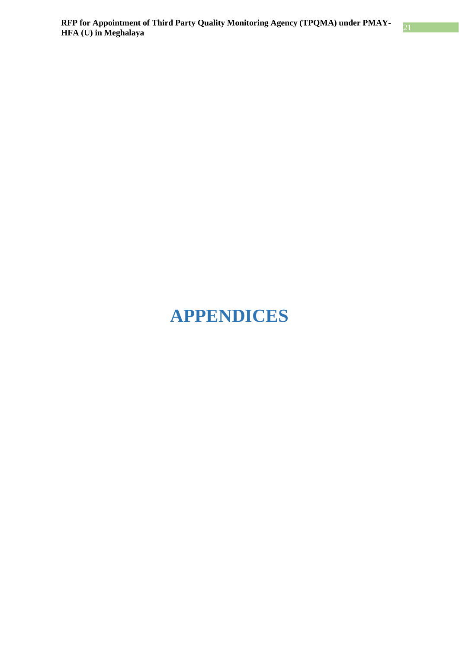## <span id="page-21-0"></span>**APPENDICES**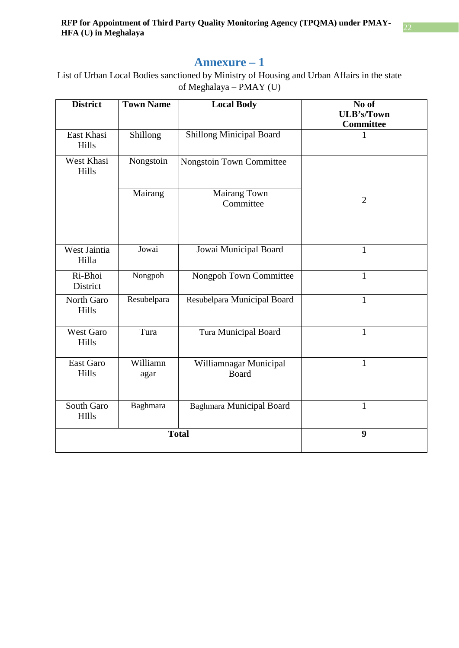### **Annexure – 1**

<span id="page-22-0"></span>List of Urban Local Bodies sanctioned by Ministry of Housing and Urban Affairs in the state of Meghalaya – PMAY (U)

| <b>District</b>            | <b>Town Name</b> | <b>Local Body</b>                      | No of<br><b>ULB's/Town</b><br>Committee |
|----------------------------|------------------|----------------------------------------|-----------------------------------------|
| East Khasi<br>Hills        | Shillong         | <b>Shillong Minicipal Board</b>        | 1                                       |
| West Khasi<br>Hills        | Nongstoin        | Nongstoin Town Committee               |                                         |
|                            | Mairang          | Mairang Town<br>Committee              | $\overline{2}$                          |
| West Jaintia<br>Hilla      | Jowai            | Jowai Municipal Board                  | $\mathbf{1}$                            |
| Ri-Bhoi<br>District        | Nongpoh          | Nongpoh Town Committee                 | $\mathbf{1}$                            |
| North Garo<br>Hills        | Resubelpara      | Resubelpara Municipal Board            | $\mathbf{1}$                            |
| <b>West Garo</b><br>Hills  | Tura             | <b>Tura Municipal Board</b>            | $\mathbf{1}$                            |
| East Garo<br>Hills         | Williamn<br>agar | Williamnagar Municipal<br><b>Board</b> | $\mathbf{1}$                            |
| South Garo<br><b>HIlls</b> | Baghmara         | <b>Baghmara Municipal Board</b>        | $\mathbf{1}$                            |
| <b>Total</b>               |                  |                                        | 9                                       |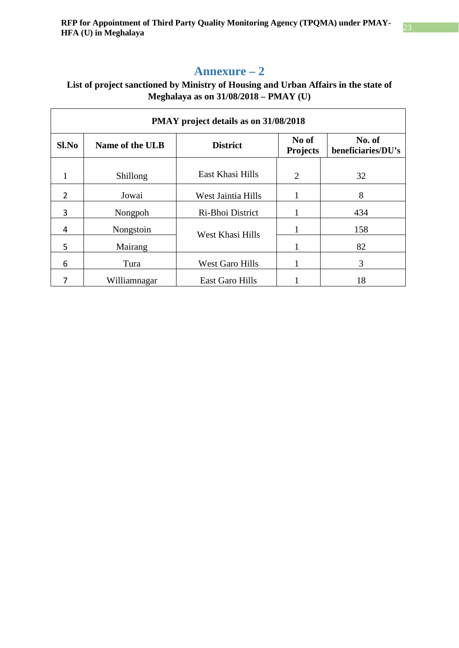### **Annexure – 2**

### <span id="page-23-0"></span>**List of project sanctioned by Ministry of Housing and Urban Affairs in the state of Meghalaya as on 31/08/2018 – PMAY (U)**

| PMAY project details as on 31/08/2018 |                 |                        |                          |                              |
|---------------------------------------|-----------------|------------------------|--------------------------|------------------------------|
| Sl.No                                 | Name of the ULB | <b>District</b>        | No of<br><b>Projects</b> | No. of<br>beneficiaries/DU's |
| 1                                     | Shillong        | East Khasi Hills       | $\overline{2}$           | 32                           |
| 2                                     | Jowai           | West Jaintia Hills     | 1                        | 8                            |
| 3                                     | Nongpoh         | Ri-Bhoi District       |                          | 434                          |
| 4                                     | Nongstoin       | West Khasi Hills       |                          | 158                          |
| 5                                     | Mairang         |                        |                          | 82                           |
| 6                                     | Tura            | <b>West Garo Hills</b> |                          | 3                            |
|                                       | Williamnagar    | East Garo Hills        |                          | 18                           |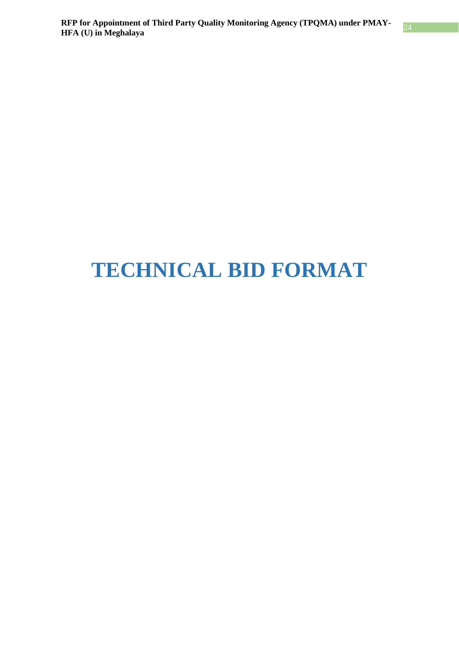## <span id="page-24-0"></span>**TECHNICAL BID FORMAT**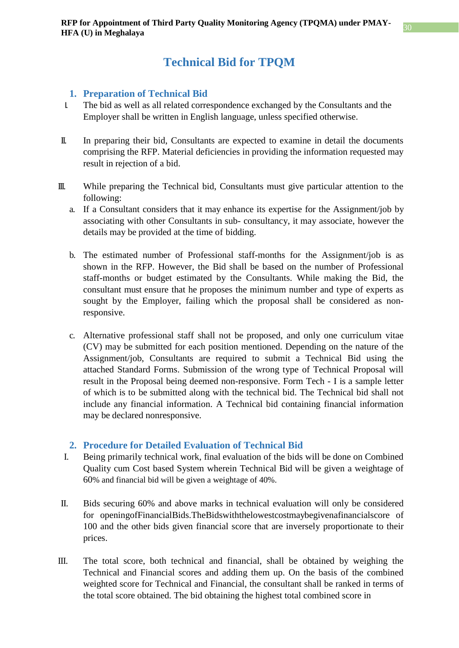### **Technical Bid for TPQM**

### <span id="page-25-0"></span>**1. Preparation of Technical Bid**

- <span id="page-25-1"></span>I. The bid as well as all related correspondence exchanged by the Consultants and the Employer shall be written in English language, unless specified otherwise.
- II. In preparing their bid, Consultants are expected to examine in detail the documents comprising the RFP. Material deficiencies in providing the information requested may result in rejection of a bid.
- III. While preparing the Technical bid, Consultants must give particular attention to the following:
	- a. If a Consultant considers that it may enhance its expertise for the Assignment/job by associating with other Consultants in sub- consultancy, it may associate, however the details may be provided at the time of bidding.
	- b. The estimated number of Professional staff-months for the Assignment/job is as shown in the RFP. However, the Bid shall be based on the number of Professional staff-months or budget estimated by the Consultants. While making the Bid, the consultant must ensure that he proposes the minimum number and type of experts as sought by the Employer, failing which the proposal shall be considered as nonresponsive.
	- c. Alternative professional staff shall not be proposed, and only one curriculum vitae (CV) may be submitted for each position mentioned. Depending on the nature of the Assignment/job, Consultants are required to submit a Technical Bid using the attached Standard Forms. Submission of the wrong type of Technical Proposal will result in the Proposal being deemed non-responsive. Form Tech - I is a sample letter of which is to be submitted along with the technical bid. The Technical bid shall not include any financial information. A Technical bid containing financial information may be declared nonresponsive.

### **2. Procedure for Detailed Evaluation of Technical Bid**

- <span id="page-25-2"></span>I. Being primarily technical work, final evaluation of the bids will be done on Combined Quality cum Cost based System wherein Technical Bid will be given a weightage of 60% and financial bid will be given a weightage of 40%.
- II. Bids securing 60% and above marks in technical evaluation will only be considered for openingofFinancialBids.TheBidswiththelowestcostmaybegivenafinancialscore of 100 and the other bids given financial score that are inversely proportionate to their prices.
- III. The total score, both technical and financial, shall be obtained by weighing the Technical and Financial scores and adding them up. On the basis of the combined weighted score for Technical and Financial, the consultant shall be ranked in terms of the total score obtained. The bid obtaining the highest total combined score in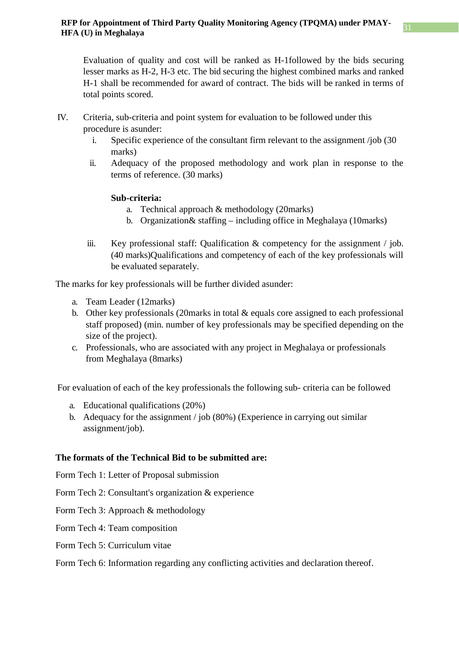Evaluation of quality and cost will be ranked as H-1followed by the bids securing lesser marks as H-2, H-3 etc. The bid securing the highest combined marks and ranked H-1 shall be recommended for award of contract. The bids will be ranked in terms of total points scored.

- IV. Criteria, sub-criteria and point system for evaluation to be followed under this procedure is asunder:
	- i. Specific experience of the consultant firm relevant to the assignment /job (30 marks)
	- ii. Adequacy of the proposed methodology and work plan in response to the terms of reference. (30 marks)

### **Sub-criteria:**

- a. Technical approach & methodology (20marks)
- b. Organization& staffing including office in Meghalaya (10marks)
- iii. Key professional staff: Qualification & competency for the assignment / job. (40 marks)Qualifications and competency of each of the key professionals will be evaluated separately.

The marks for key professionals will be further divided asunder:

- a. Team Leader (12marks)
- b. Other key professionals (20marks in total & equals core assigned to each professional staff proposed) (min. number of key professionals may be specified depending on the size of the project).
- c. Professionals, who are associated with any project in Meghalaya or professionals from Meghalaya (8marks)

For evaluation of each of the key professionals the following sub- criteria can be followed

- a. Educational qualifications (20%)
- b. Adequacy for the assignment / job (80%) (Experience in carrying out similar assignment/job).

### **The formats of the Technical Bid to be submitted are:**

Form Tech 1: Letter of Proposal submission

- Form Tech 2: Consultant's organization & experience
- Form Tech 3: Approach & methodology
- Form Tech 4: Team composition
- Form Tech 5: Curriculum vitae

### Form Tech 6: Information regarding any conflicting activities and declaration thereof.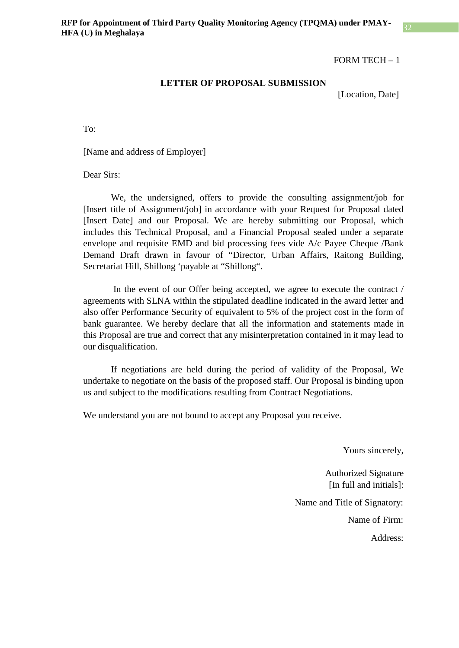#### **LETTER OF PROPOSAL SUBMISSION**

[Location, Date]

To:

[Name and address of Employer]

Dear Sirs:

We, the undersigned, offers to provide the consulting assignment/job for [Insert title of Assignment/job] in accordance with your Request for Proposal dated [Insert Date] and our Proposal. We are hereby submitting our Proposal, which includes this Technical Proposal, and a Financial Proposal sealed under a separate envelope and requisite EMD and bid processing fees vide A/c Payee Cheque /Bank Demand Draft drawn in favour of "Director, Urban Affairs, Raitong Building, Secretariat Hill, Shillong 'payable at "Shillong".

In the event of our Offer being accepted, we agree to execute the contract / agreements with SLNA within the stipulated deadline indicated in the award letter and also offer Performance Security of equivalent to 5% of the project cost in the form of bank guarantee. We hereby declare that all the information and statements made in this Proposal are true and correct that any misinterpretation contained in it may lead to our disqualification.

If negotiations are held during the period of validity of the Proposal, We undertake to negotiate on the basis of the proposed staff. Our Proposal is binding upon us and subject to the modifications resulting from Contract Negotiations.

We understand you are not bound to accept any Proposal you receive.

Yours sincerely,

Authorized Signature [In full and initials]:

Name and Title of Signatory:

Name of Firm:

Address: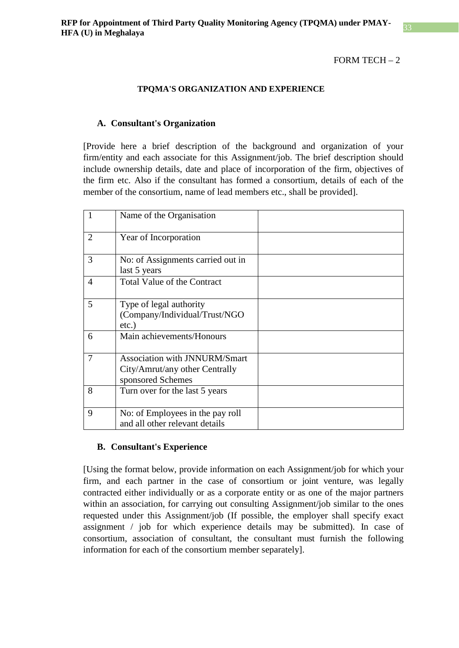#### FORM TECH $-2$

#### **TPQMA'S ORGANIZATION AND EXPERIENCE**

#### **A. Consultant's Organization**

[Provide here a brief description of the background and organization of your firm/entity and each associate for this Assignment/job. The brief description should include ownership details, date and place of incorporation of the firm, objectives of the firm etc. Also if the consultant has formed a consortium, details of each of the member of the consortium, name of lead members etc., shall be provided].

|                | Name of the Organisation                                                                    |  |
|----------------|---------------------------------------------------------------------------------------------|--|
| $\overline{2}$ | Year of Incorporation                                                                       |  |
| 3              | No: of Assignments carried out in<br>last 5 years                                           |  |
| 4              | Total Value of the Contract                                                                 |  |
| 5              | Type of legal authority<br>(Company/Individual/Trust/NGO<br>$etc.$ )                        |  |
| 6              | Main achievements/Honours                                                                   |  |
| 7              | <b>Association with JNNURM/Smart</b><br>City/Amrut/any other Centrally<br>sponsored Schemes |  |
| 8              | Turn over for the last 5 years                                                              |  |
| 9              | No: of Employees in the pay roll<br>and all other relevant details                          |  |

#### **B. Consultant's Experience**

[Using the format below, provide information on each Assignment/job for which your firm, and each partner in the case of consortium or joint venture, was legally contracted either individually or as a corporate entity or as one of the major partners within an association, for carrying out consulting Assignment/job similar to the ones requested under this Assignment/job (If possible, the employer shall specify exact assignment / job for which experience details may be submitted). In case of consortium, association of consultant, the consultant must furnish the following information for each of the consortium member separately].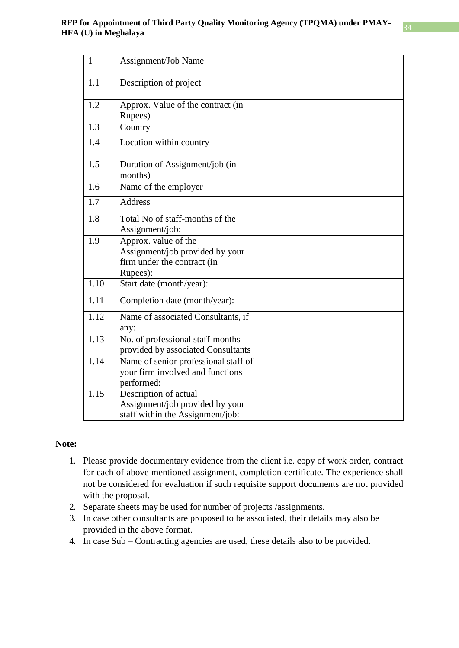| $\mathbf{1}$      | Assignment/Job Name                                                                                |  |
|-------------------|----------------------------------------------------------------------------------------------------|--|
| 1.1               | Description of project                                                                             |  |
| 1.2               | Approx. Value of the contract (in<br>Rupees)                                                       |  |
| 1.3               | Country                                                                                            |  |
| 1.4               | Location within country                                                                            |  |
| 1.5               | Duration of Assignment/job (in<br>months)                                                          |  |
| 1.6               | Name of the employer                                                                               |  |
| 1.7               | <b>Address</b>                                                                                     |  |
| 1.8               | Total No of staff-months of the<br>Assignment/job:                                                 |  |
| 1.9               | Approx. value of the<br>Assignment/job provided by your<br>firm under the contract (in<br>Rupees): |  |
| 1.10              | Start date (month/year):                                                                           |  |
| 1.11              | Completion date (month/year):                                                                      |  |
| $\overline{1.12}$ | Name of associated Consultants, if<br>any:                                                         |  |
| 1.13              | No. of professional staff-months<br>provided by associated Consultants                             |  |
| 1.14              | Name of senior professional staff of<br>your firm involved and functions<br>performed:             |  |
| 1.15              | Description of actual<br>Assignment/job provided by your<br>staff within the Assignment/job:       |  |

#### **Note:**

- 1. Please provide documentary evidence from the client i.e. copy of work order, contract for each of above mentioned assignment, completion certificate. The experience shall not be considered for evaluation if such requisite support documents are not provided with the proposal.
- 2. Separate sheets may be used for number of projects /assignments.
- 3. In case other consultants are proposed to be associated, their details may also be provided in the above format.
- 4. In case Sub Contracting agencies are used, these details also to be provided.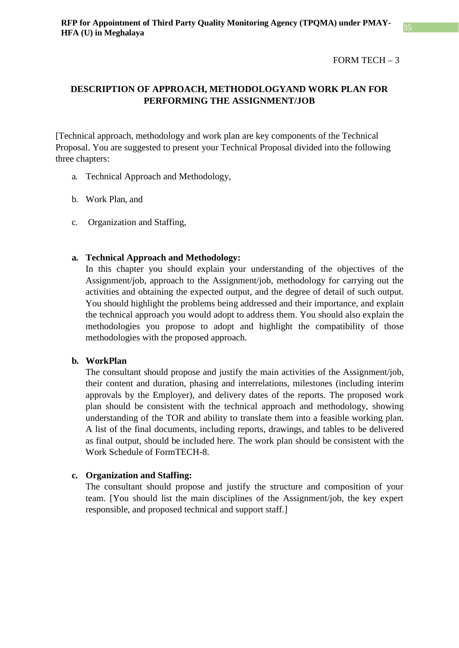### **DESCRIPTION OF APPROACH, METHODOLOGYAND WORK PLAN FOR PERFORMING THE ASSIGNMENT/JOB**

[Technical approach, methodology and work plan are key components of the Technical Proposal. You are suggested to present your Technical Proposal divided into the following three chapters:

- a. Technical Approach and Methodology,
- b. Work Plan, and
- c. Organization and Staffing,

### **a. Technical Approach and Methodology:**

In this chapter you should explain your understanding of the objectives of the Assignment/job, approach to the Assignment/job, methodology for carrying out the activities and obtaining the expected output, and the degree of detail of such output. You should highlight the problems being addressed and their importance, and explain the technical approach you would adopt to address them. You should also explain the methodologies you propose to adopt and highlight the compatibility of those methodologies with the proposed approach.

#### **b. WorkPlan**

The consultant should propose and justify the main activities of the Assignment/job, their content and duration, phasing and interrelations, milestones (including interim approvals by the Employer), and delivery dates of the reports. The proposed work plan should be consistent with the technical approach and methodology, showing understanding of the TOR and ability to translate them into a feasible working plan. A list of the final documents, including reports, drawings, and tables to be delivered as final output, should be included here. The work plan should be consistent with the Work Schedule of FormTECH-8.

#### **c. Organization and Staffing:**

The consultant should propose and justify the structure and composition of your team. [You should list the main disciplines of the Assignment/job, the key expert responsible, and proposed technical and support staff.]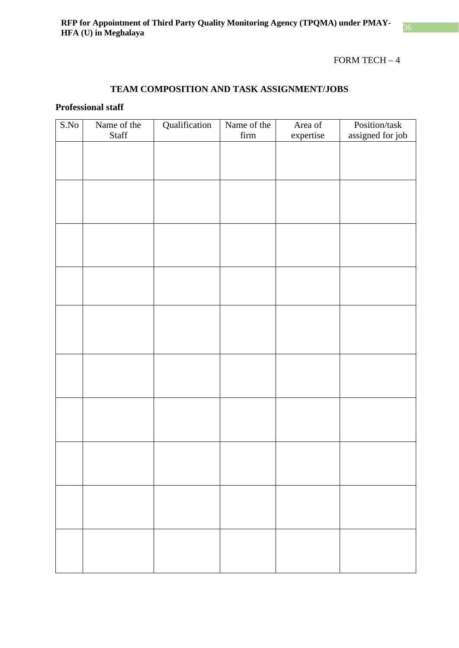### **TEAM COMPOSITION AND TASK ASSIGNMENT/JOBS**

### **Professional staff**

| S.No | Name of the | Qualification | Name of the      | Area of   | Position/task    |
|------|-------------|---------------|------------------|-----------|------------------|
|      | Staff       |               | $_\mathrm{firm}$ | expertise | assigned for job |
|      |             |               |                  |           |                  |
|      |             |               |                  |           |                  |
|      |             |               |                  |           |                  |
|      |             |               |                  |           |                  |
|      |             |               |                  |           |                  |
|      |             |               |                  |           |                  |
|      |             |               |                  |           |                  |
|      |             |               |                  |           |                  |
|      |             |               |                  |           |                  |
|      |             |               |                  |           |                  |
|      |             |               |                  |           |                  |
|      |             |               |                  |           |                  |
|      |             |               |                  |           |                  |
|      |             |               |                  |           |                  |
|      |             |               |                  |           |                  |
|      |             |               |                  |           |                  |
|      |             |               |                  |           |                  |
|      |             |               |                  |           |                  |
|      |             |               |                  |           |                  |
|      |             |               |                  |           |                  |
|      |             |               |                  |           |                  |
|      |             |               |                  |           |                  |
|      |             |               |                  |           |                  |
|      |             |               |                  |           |                  |
|      |             |               |                  |           |                  |
|      |             |               |                  |           |                  |
|      |             |               |                  |           |                  |
|      |             |               |                  |           |                  |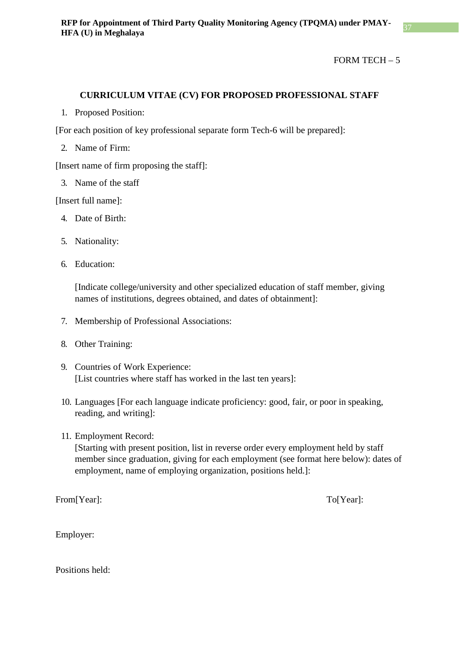### **CURRICULUM VITAE (CV) FOR PROPOSED PROFESSIONAL STAFF**

1. Proposed Position:

[For each position of key professional separate form Tech-6 will be prepared]:

2. Name of Firm:

[Insert name of firm proposing the staff]:

3. Name of the staff

[Insert full name]:

- 4. Date of Birth:
- 5. Nationality:
- 6. Education:

[Indicate college/university and other specialized education of staff member, giving names of institutions, degrees obtained, and dates of obtainment]:

- 7. Membership of Professional Associations:
- 8. Other Training:
- 9. Countries of Work Experience: [List countries where staff has worked in the last ten years]:
- 10. Languages [For each language indicate proficiency: good, fair, or poor in speaking, reading, and writing]:
- 11. Employment Record:

[Starting with present position, list in reverse order every employment held by staff member since graduation, giving for each employment (see format here below): dates of employment, name of employing organization, positions held.]:

From[Year]: To[Year]: To[Year]:

Employer:

Positions held: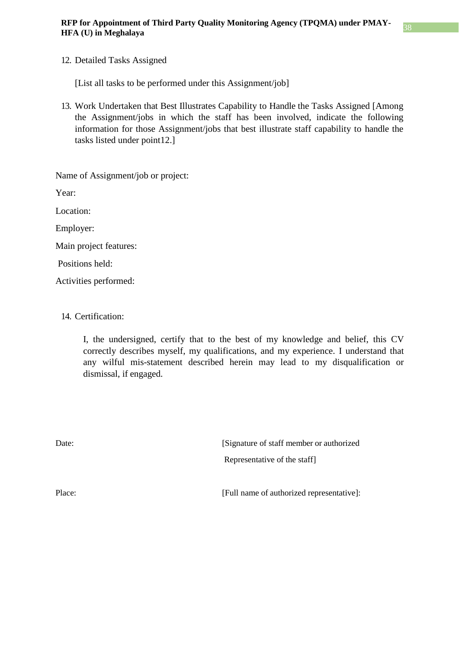### 12. Detailed Tasks Assigned

[List all tasks to be performed under this Assignment/job]

13. Work Undertaken that Best Illustrates Capability to Handle the Tasks Assigned [Among the Assignment/jobs in which the staff has been involved, indicate the following information for those Assignment/jobs that best illustrate staff capability to handle the tasks listed under point12.]

Name of Assignment/job or project:

Year:

Location:

Employer:

Main project features:

Positions held:

Activities performed:

### 14. Certification:

I, the undersigned, certify that to the best of my knowledge and belief, this CV correctly describes myself, my qualifications, and my experience. I understand that any wilful mis-statement described herein may lead to my disqualification or dismissal, if engaged.

Date: [Signature of staff member or authorized] Representative of the staff]

Place: [Full name of authorized representative]: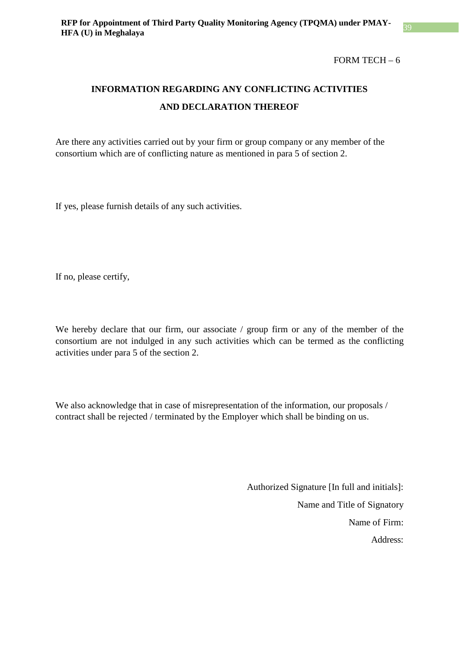FORM TECH $-6$ 

## **INFORMATION REGARDING ANY CONFLICTING ACTIVITIES AND DECLARATION THEREOF**

Are there any activities carried out by your firm or group company or any member of the consortium which are of conflicting nature as mentioned in para 5 of section 2.

If yes, please furnish details of any such activities.

If no, please certify,

We hereby declare that our firm, our associate / group firm or any of the member of the consortium are not indulged in any such activities which can be termed as the conflicting activities under para 5 of the section 2.

We also acknowledge that in case of misrepresentation of the information, our proposals / contract shall be rejected / terminated by the Employer which shall be binding on us.

> Authorized Signature [In full and initials]: Name and Title of Signatory Name of Firm: Address: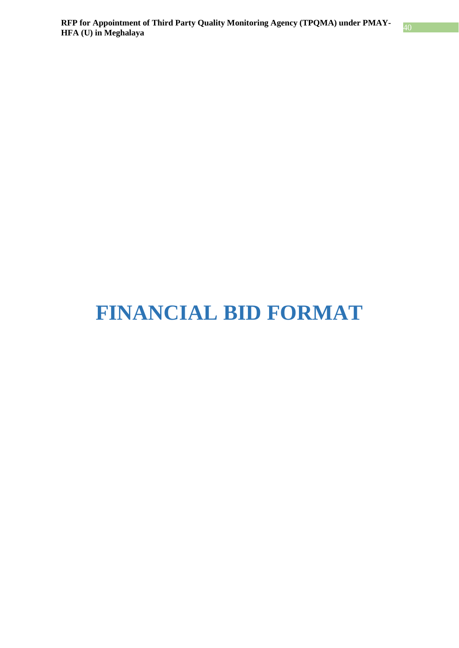# <span id="page-35-0"></span>**FINANCIAL BID FORMAT**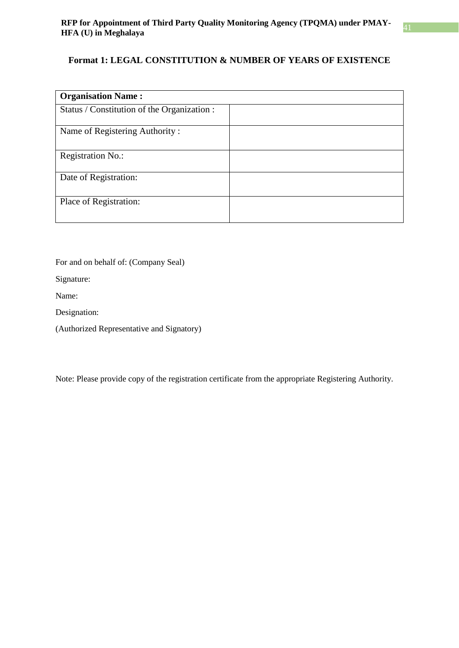### **Format 1: LEGAL CONSTITUTION & NUMBER OF YEARS OF EXISTENCE**

| <b>Organisation Name:</b>                   |  |
|---------------------------------------------|--|
| Status / Constitution of the Organization : |  |
| Name of Registering Authority:              |  |
| <b>Registration No.:</b>                    |  |
| Date of Registration:                       |  |
| Place of Registration:                      |  |

For and on behalf of: (Company Seal)

Signature:

Name:

Designation:

(Authorized Representative and Signatory)

Note: Please provide copy of the registration certificate from the appropriate Registering Authority.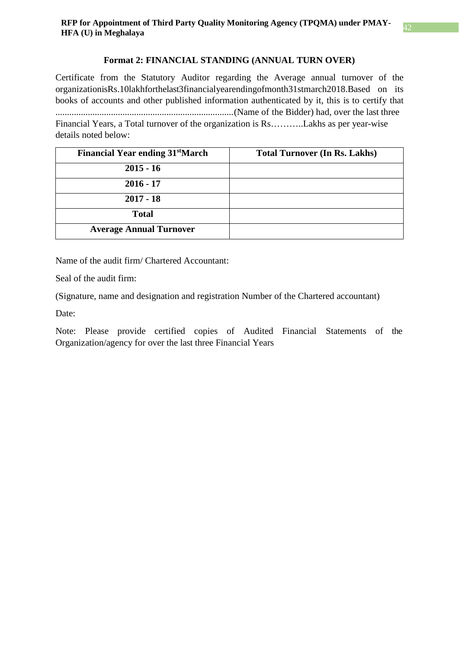### **Format 2: FINANCIAL STANDING (ANNUAL TURN OVER)**

Certificate from the Statutory Auditor regarding the Average annual turnover of the organizationisRs.10lakhforthelast3financialyearendingofmonth31stmarch2018.Based on its books of accounts and other published information authenticated by it, this is to certify that .............................................................................(Name of the Bidder) had, over the last three Financial Years, a Total turnover of the organization is Rs………..Lakhs as per year-wise details noted below:

| <b>Financial Year ending 31stMarch</b> | <b>Total Turnover (In Rs. Lakhs)</b> |
|----------------------------------------|--------------------------------------|
| $2015 - 16$                            |                                      |
| $2016 - 17$                            |                                      |
| $2017 - 18$                            |                                      |
| <b>Total</b>                           |                                      |
| <b>Average Annual Turnover</b>         |                                      |

Name of the audit firm/ Chartered Accountant:

Seal of the audit firm:

(Signature, name and designation and registration Number of the Chartered accountant)

Date:

Note: Please provide certified copies of Audited Financial Statements of the Organization/agency for over the last three Financial Years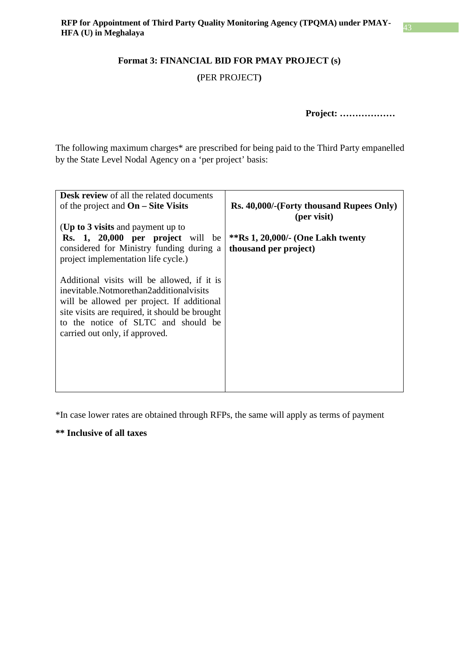### **Format 3: FINANCIAL BID FOR PMAY PROJECT (s)**

### **(**PER PROJECT**)**

**Project: ………………**

The following maximum charges\* are prescribed for being paid to the Third Party empanelled by the State Level Nodal Agency on a 'per project' basis:

| <b>Desk review</b> of all the related documents<br>of the project and $On - Site Visits$<br>(Up to 3 visits and payment up to                                                                                                                                   | Rs. 40,000/-(Forty thousand Rupees Only)<br>(per visit)    |
|-----------------------------------------------------------------------------------------------------------------------------------------------------------------------------------------------------------------------------------------------------------------|------------------------------------------------------------|
| Rs. 1, 20,000 per project will be<br>considered for Ministry funding during a<br>project implementation life cycle.)                                                                                                                                            | **Rs 1, 20,000/- (One Lakh twenty<br>thousand per project) |
| Additional visits will be allowed, if it is<br>inevitable.Notmorethan2additionalvisits<br>will be allowed per project. If additional<br>site visits are required, it should be brought<br>to the notice of SLTC and should be<br>carried out only, if approved. |                                                            |

\*In case lower rates are obtained through RFPs, the same will apply as terms of payment

**\*\* Inclusive of all taxes**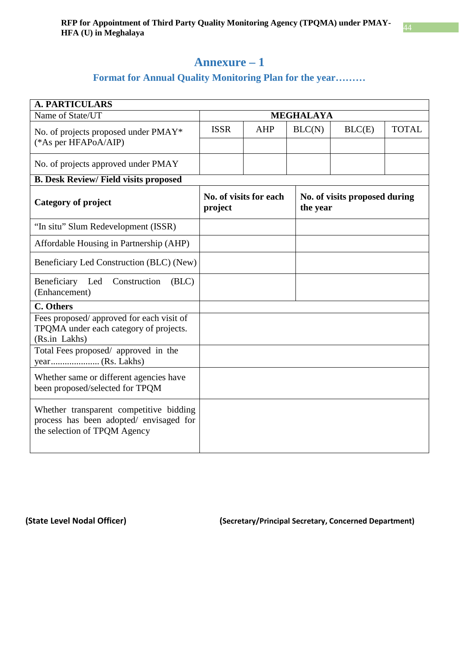### **Annexure – 1**

### **Format for Annual Quality Monitoring Plan for the year………**

<span id="page-39-1"></span><span id="page-39-0"></span>

| <b>A. PARTICULARS</b>                                                                                              |                                   |            |                  |                                           |              |  |
|--------------------------------------------------------------------------------------------------------------------|-----------------------------------|------------|------------------|-------------------------------------------|--------------|--|
| Name of State/UT                                                                                                   |                                   |            | <b>MEGHALAYA</b> |                                           |              |  |
| No. of projects proposed under PMAY*<br>(*As per HFAPoA/AIP)                                                       | <b>ISSR</b>                       | <b>AHP</b> | BLC(N)           | BLC(E)                                    | <b>TOTAL</b> |  |
|                                                                                                                    |                                   |            |                  |                                           |              |  |
| No. of projects approved under PMAY                                                                                |                                   |            |                  |                                           |              |  |
| <b>B. Desk Review/Field visits proposed</b>                                                                        |                                   |            |                  |                                           |              |  |
| <b>Category of project</b>                                                                                         | No. of visits for each<br>project |            |                  | No. of visits proposed during<br>the year |              |  |
| "In situ" Slum Redevelopment (ISSR)                                                                                |                                   |            |                  |                                           |              |  |
| Affordable Housing in Partnership (AHP)                                                                            |                                   |            |                  |                                           |              |  |
| Beneficiary Led Construction (BLC) (New)                                                                           |                                   |            |                  |                                           |              |  |
| Beneficiary Led<br>(BLC)<br>Construction<br>(Enhancement)                                                          |                                   |            |                  |                                           |              |  |
| C. Others                                                                                                          |                                   |            |                  |                                           |              |  |
| Fees proposed/ approved for each visit of<br>TPQMA under each category of projects.<br>(Rs.in Lakhs)               |                                   |            |                  |                                           |              |  |
| Total Fees proposed/ approved in the                                                                               |                                   |            |                  |                                           |              |  |
| Whether same or different agencies have<br>been proposed/selected for TPQM                                         |                                   |            |                  |                                           |              |  |
| Whether transparent competitive bidding<br>process has been adopted/ envisaged for<br>the selection of TPQM Agency |                                   |            |                  |                                           |              |  |

**(State Level Nodal Officer) (Secretary/Principal Secretary, Concerned Department)**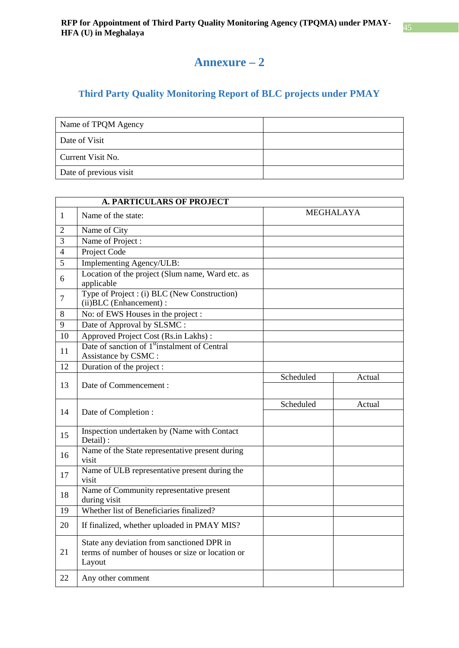### **Annexure – 2**

### <span id="page-40-0"></span>**Third Party Quality Monitoring Report of BLC projects under PMAY**

<span id="page-40-1"></span>

| Name of TPQM Agency    |  |
|------------------------|--|
| Date of Visit          |  |
| Current Visit No.      |  |
| Date of previous visit |  |

|                | <b>A. PARTICULARS OF PROJECT</b>                                                                         |           |                  |
|----------------|----------------------------------------------------------------------------------------------------------|-----------|------------------|
| 1              | Name of the state:                                                                                       |           | <b>MEGHALAYA</b> |
| $\overline{2}$ | Name of City                                                                                             |           |                  |
| 3              | Name of Project:                                                                                         |           |                  |
| $\overline{4}$ | Project Code                                                                                             |           |                  |
| $\overline{5}$ | Implementing Agency/ULB:                                                                                 |           |                  |
| 6              | Location of the project (Slum name, Ward etc. as<br>applicable                                           |           |                  |
| $\tau$         | Type of Project : (i) BLC (New Construction)<br>(ii) BLC (Enhancement) :                                 |           |                  |
| 8              | No: of EWS Houses in the project :                                                                       |           |                  |
| 9              | Date of Approval by SLSMC:                                                                               |           |                  |
| 10             | Approved Project Cost (Rs.in Lakhs):                                                                     |           |                  |
| 11             | Date of sanction of 1 <sup>st</sup> instalment of Central<br>Assistance by CSMC:                         |           |                  |
| 12             | Duration of the project :                                                                                |           |                  |
| 13             | Date of Commencement :                                                                                   | Scheduled | Actual           |
| 14             | Date of Completion:                                                                                      | Scheduled | Actual           |
| 15             | Inspection undertaken by (Name with Contact<br>Detail):                                                  |           |                  |
| 16             | Name of the State representative present during<br>visit                                                 |           |                  |
| 17             | Name of ULB representative present during the<br>visit                                                   |           |                  |
| 18             | Name of Community representative present<br>during visit                                                 |           |                  |
| 19             | Whether list of Beneficiaries finalized?                                                                 |           |                  |
| 20             | If finalized, whether uploaded in PMAY MIS?                                                              |           |                  |
| 21             | State any deviation from sanctioned DPR in<br>terms of number of houses or size or location or<br>Layout |           |                  |
| 22             | Any other comment                                                                                        |           |                  |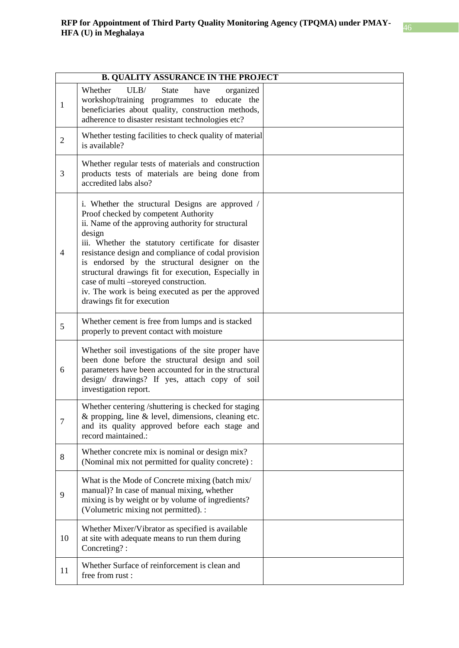|                | <b>B. QUALITY ASSURANCE IN THE PROJECT</b>                                                                                                                                                                                                                                                                                                                                                                                                                                                                   |  |  |  |
|----------------|--------------------------------------------------------------------------------------------------------------------------------------------------------------------------------------------------------------------------------------------------------------------------------------------------------------------------------------------------------------------------------------------------------------------------------------------------------------------------------------------------------------|--|--|--|
| 1              | Whether<br>ULB/<br><b>State</b><br>have<br>organized<br>workshop/training programmes to educate the<br>beneficiaries about quality, construction methods,<br>adherence to disaster resistant technologies etc?                                                                                                                                                                                                                                                                                               |  |  |  |
| $\mathbf{2}$   | Whether testing facilities to check quality of material<br>is available?                                                                                                                                                                                                                                                                                                                                                                                                                                     |  |  |  |
| 3              | Whether regular tests of materials and construction<br>products tests of materials are being done from<br>accredited labs also?                                                                                                                                                                                                                                                                                                                                                                              |  |  |  |
| $\overline{4}$ | i. Whether the structural Designs are approved /<br>Proof checked by competent Authority<br>ii. Name of the approving authority for structural<br>design<br>iii. Whether the statutory certificate for disaster<br>resistance design and compliance of codal provision<br>is endorsed by the structural designer on the<br>structural drawings fit for execution, Especially in<br>case of multi -storeyed construction.<br>iv. The work is being executed as per the approved<br>drawings fit for execution |  |  |  |
| 5              | Whether cement is free from lumps and is stacked<br>properly to prevent contact with moisture                                                                                                                                                                                                                                                                                                                                                                                                                |  |  |  |
| 6              | Whether soil investigations of the site proper have<br>been done before the structural design and soil<br>parameters have been accounted for in the structural<br>design/ drawings? If yes, attach copy of soil<br>investigation report.                                                                                                                                                                                                                                                                     |  |  |  |
| 7              | Whether centering /shuttering is checked for staging<br>& propping, line & level, dimensions, cleaning etc.<br>and its quality approved before each stage and<br>record maintained.:                                                                                                                                                                                                                                                                                                                         |  |  |  |
| 8              | Whether concrete mix is nominal or design mix?<br>(Nominal mix not permitted for quality concrete):                                                                                                                                                                                                                                                                                                                                                                                                          |  |  |  |
| 9              | What is the Mode of Concrete mixing (batch mix/<br>manual)? In case of manual mixing, whether<br>mixing is by weight or by volume of ingredients?<br>(Volumetric mixing not permitted). :                                                                                                                                                                                                                                                                                                                    |  |  |  |
| 10             | Whether Mixer/Vibrator as specified is available<br>at site with adequate means to run them during<br>Concreting?:                                                                                                                                                                                                                                                                                                                                                                                           |  |  |  |
| 11             | Whether Surface of reinforcement is clean and<br>free from rust:                                                                                                                                                                                                                                                                                                                                                                                                                                             |  |  |  |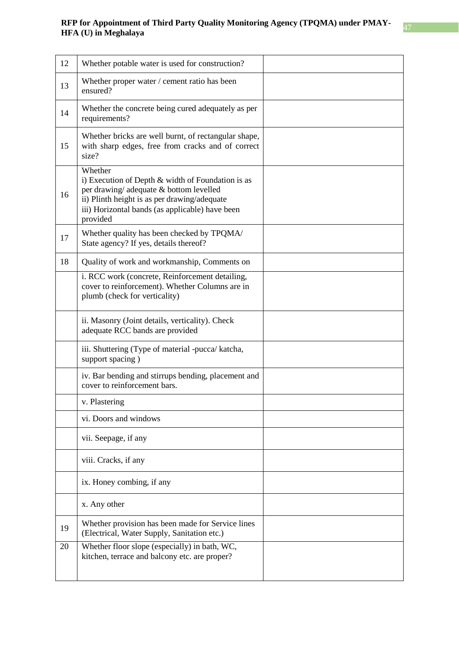| 12 | Whether potable water is used for construction?                                                                                                                                                                       |  |
|----|-----------------------------------------------------------------------------------------------------------------------------------------------------------------------------------------------------------------------|--|
| 13 | Whether proper water / cement ratio has been<br>ensured?                                                                                                                                                              |  |
| 14 | Whether the concrete being cured adequately as per<br>requirements?                                                                                                                                                   |  |
| 15 | Whether bricks are well burnt, of rectangular shape,<br>with sharp edges, free from cracks and of correct<br>size?                                                                                                    |  |
| 16 | Whether<br>i) Execution of Depth & width of Foundation is as<br>per drawing/adequate & bottom levelled<br>ii) Plinth height is as per drawing/adequate<br>iii) Horizontal bands (as applicable) have been<br>provided |  |
| 17 | Whether quality has been checked by TPQMA/<br>State agency? If yes, details thereof?                                                                                                                                  |  |
| 18 | Quality of work and workmanship, Comments on                                                                                                                                                                          |  |
|    | i. RCC work (concrete, Reinforcement detailing,<br>cover to reinforcement). Whether Columns are in<br>plumb (check for verticality)                                                                                   |  |
|    | ii. Masonry (Joint details, verticality). Check<br>adequate RCC bands are provided                                                                                                                                    |  |
|    | iii. Shuttering (Type of material -pucca/ katcha,<br>support spacing)                                                                                                                                                 |  |
|    | iv. Bar bending and stirrups bending, placement and<br>cover to reinforcement bars.                                                                                                                                   |  |
|    | v. Plastering                                                                                                                                                                                                         |  |
|    | vi. Doors and windows                                                                                                                                                                                                 |  |
|    | vii. Seepage, if any                                                                                                                                                                                                  |  |
|    | viii. Cracks, if any                                                                                                                                                                                                  |  |
|    | ix. Honey combing, if any                                                                                                                                                                                             |  |
|    | x. Any other                                                                                                                                                                                                          |  |
| 19 | Whether provision has been made for Service lines<br>(Electrical, Water Supply, Sanitation etc.)                                                                                                                      |  |
| 20 | Whether floor slope (especially) in bath, WC,<br>kitchen, terrace and balcony etc. are proper?                                                                                                                        |  |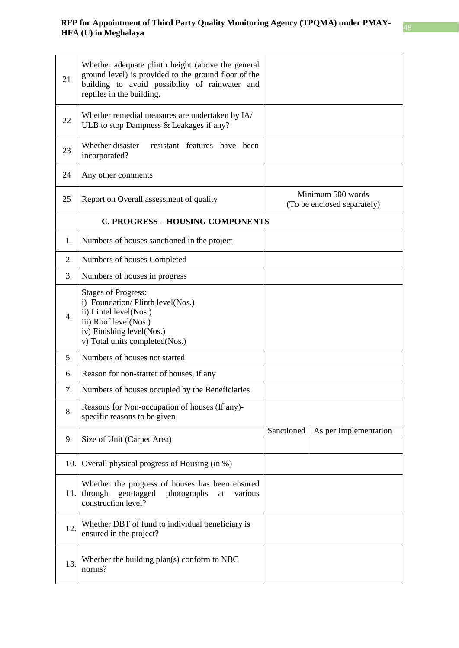| 21                                      | Whether adequate plinth height (above the general<br>ground level) is provided to the ground floor of the<br>building to avoid possibility of rainwater and<br>reptiles in the building. |            |                                                  |
|-----------------------------------------|------------------------------------------------------------------------------------------------------------------------------------------------------------------------------------------|------------|--------------------------------------------------|
| 22                                      | Whether remedial measures are undertaken by IA/<br>ULB to stop Dampness & Leakages if any?                                                                                               |            |                                                  |
| 23                                      | Whether disaster<br>resistant features have been<br>incorporated?                                                                                                                        |            |                                                  |
| 24                                      | Any other comments                                                                                                                                                                       |            |                                                  |
| 25                                      | Report on Overall assessment of quality                                                                                                                                                  |            | Minimum 500 words<br>(To be enclosed separately) |
| <b>C. PROGRESS - HOUSING COMPONENTS</b> |                                                                                                                                                                                          |            |                                                  |
| 1.                                      | Numbers of houses sanctioned in the project                                                                                                                                              |            |                                                  |
| 2.                                      | Numbers of houses Completed                                                                                                                                                              |            |                                                  |
| 3.                                      | Numbers of houses in progress                                                                                                                                                            |            |                                                  |
| 4.                                      | <b>Stages of Progress:</b><br>i) Foundation/Plinth level(Nos.)<br>ii) Lintel level(Nos.)<br>iii) Roof level(Nos.)<br>iv) Finishing level(Nos.)<br>v) Total units completed(Nos.)         |            |                                                  |
| 5.                                      | Numbers of houses not started                                                                                                                                                            |            |                                                  |
| 6.                                      | Reason for non-starter of houses, if any                                                                                                                                                 |            |                                                  |
| 7.                                      | Numbers of houses occupied by the Beneficiaries                                                                                                                                          |            |                                                  |
| 8.                                      | Reasons for Non-occupation of houses (If any)-<br>specific reasons to be given                                                                                                           |            |                                                  |
| 9.                                      | Size of Unit (Carpet Area)                                                                                                                                                               | Sanctioned | As per Implementation                            |
| 10.                                     | Overall physical progress of Housing (in %)                                                                                                                                              |            |                                                  |
| 11.                                     | Whether the progress of houses has been ensured<br>through<br>geo-tagged<br>photographs<br>various<br>at<br>construction level?                                                          |            |                                                  |
| 12.                                     | Whether DBT of fund to individual beneficiary is<br>ensured in the project?                                                                                                              |            |                                                  |
| 13.                                     | Whether the building plan(s) conform to NBC<br>norms?                                                                                                                                    |            |                                                  |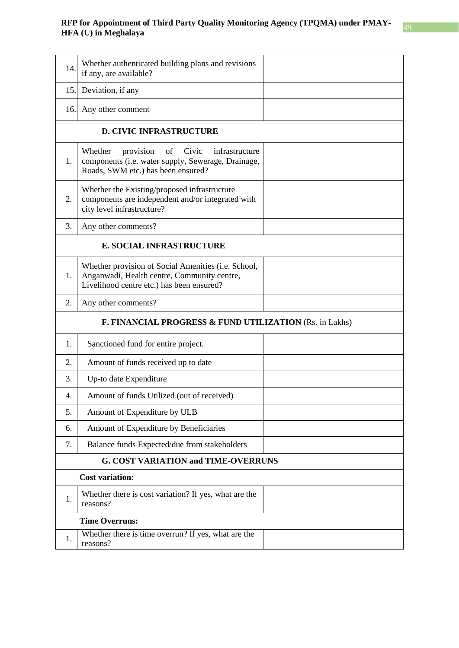| 14.                                                                | Whether authenticated building plans and revisions<br>if any, are available?                                                                      |  |  |  |  |
|--------------------------------------------------------------------|---------------------------------------------------------------------------------------------------------------------------------------------------|--|--|--|--|
| 15.                                                                | Deviation, if any                                                                                                                                 |  |  |  |  |
| 16.                                                                | Any other comment                                                                                                                                 |  |  |  |  |
| <b>D. CIVIC INFRASTRUCTURE</b>                                     |                                                                                                                                                   |  |  |  |  |
| 1.                                                                 | Whether<br>infrastructure<br>provision<br>of<br>Civic<br>components (i.e. water supply, Sewerage, Drainage,<br>Roads, SWM etc.) has been ensured? |  |  |  |  |
| 2.                                                                 | Whether the Existing/proposed infrastructure<br>components are independent and/or integrated with<br>city level infrastructure?                   |  |  |  |  |
| 3.                                                                 | Any other comments?                                                                                                                               |  |  |  |  |
| <b>E. SOCIAL INFRASTRUCTURE</b>                                    |                                                                                                                                                   |  |  |  |  |
| 1.                                                                 | Whether provision of Social Amenities (i.e. School,<br>Anganwadi, Health centre, Community centre,<br>Livelihood centre etc.) has been ensured?   |  |  |  |  |
| 2.                                                                 | Any other comments?                                                                                                                               |  |  |  |  |
| <b>F. FINANCIAL PROGRESS &amp; FUND UTILIZATION (Rs. in Lakhs)</b> |                                                                                                                                                   |  |  |  |  |
| 1.                                                                 | Sanctioned fund for entire project.                                                                                                               |  |  |  |  |
| 2.                                                                 | Amount of funds received up to date                                                                                                               |  |  |  |  |
| 3.                                                                 | Up-to date Expenditure                                                                                                                            |  |  |  |  |
| 4.                                                                 | Amount of funds Utilized (out of received)                                                                                                        |  |  |  |  |
| 5.                                                                 | Amount of Expenditure by ULB                                                                                                                      |  |  |  |  |
| 6.                                                                 | Amount of Expenditure by Beneficiaries                                                                                                            |  |  |  |  |
| 7.                                                                 | Balance funds Expected/due from stakeholders                                                                                                      |  |  |  |  |
|                                                                    | <b>G. COST VARIATION and TIME-OVERRUNS</b>                                                                                                        |  |  |  |  |
| <b>Cost variation:</b>                                             |                                                                                                                                                   |  |  |  |  |
| 1.                                                                 | Whether there is cost variation? If yes, what are the<br>reasons?                                                                                 |  |  |  |  |
| <b>Time Overruns:</b>                                              |                                                                                                                                                   |  |  |  |  |
| 1.                                                                 | Whether there is time overrun? If yes, what are the<br>reasons?                                                                                   |  |  |  |  |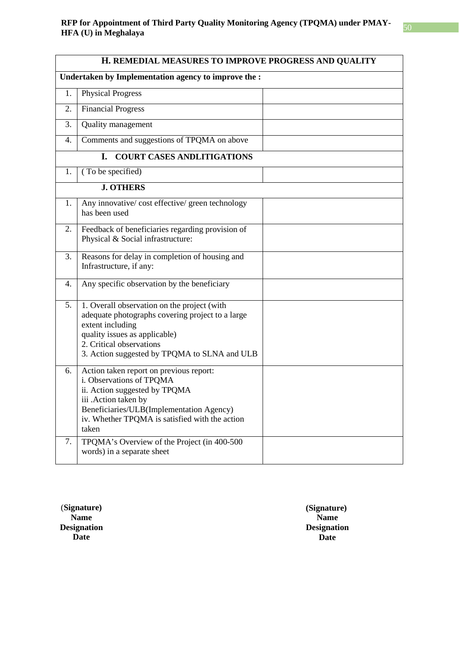### **RFP for Appointment of Third Party Quality Monitoring Agency (TPQMA) under PMAY-HFA (U) in Meghalaya Herain Strategy Construction Construction** CLPQMA and CHP MAY-<br>**HFA (U) in Meghalaya**

| H. REMEDIAL MEASURES TO IMPROVE PROGRESS AND QUALITY |                                                                                                                                                                                                                                     |  |  |  |
|------------------------------------------------------|-------------------------------------------------------------------------------------------------------------------------------------------------------------------------------------------------------------------------------------|--|--|--|
| Undertaken by Implementation agency to improve the : |                                                                                                                                                                                                                                     |  |  |  |
| 1.                                                   | <b>Physical Progress</b>                                                                                                                                                                                                            |  |  |  |
| 2.                                                   | <b>Financial Progress</b>                                                                                                                                                                                                           |  |  |  |
| 3.                                                   | Quality management                                                                                                                                                                                                                  |  |  |  |
| 4.                                                   | Comments and suggestions of TPQMA on above                                                                                                                                                                                          |  |  |  |
| I.<br><b>COURT CASES ANDLITIGATIONS</b>              |                                                                                                                                                                                                                                     |  |  |  |
| 1.                                                   | (To be specified)                                                                                                                                                                                                                   |  |  |  |
|                                                      | <b>J. OTHERS</b>                                                                                                                                                                                                                    |  |  |  |
| 1.                                                   | Any innovative/ cost effective/ green technology<br>has been used                                                                                                                                                                   |  |  |  |
| 2.                                                   | Feedback of beneficiaries regarding provision of<br>Physical & Social infrastructure:                                                                                                                                               |  |  |  |
| 3.                                                   | Reasons for delay in completion of housing and<br>Infrastructure, if any:                                                                                                                                                           |  |  |  |
| 4.                                                   | Any specific observation by the beneficiary                                                                                                                                                                                         |  |  |  |
| 5.                                                   | 1. Overall observation on the project (with<br>adequate photographs covering project to a large<br>extent including<br>quality issues as applicable)<br>2. Critical observations<br>3. Action suggested by TPQMA to SLNA and ULB    |  |  |  |
| 6.                                                   | Action taken report on previous report:<br>i. Observations of TPQMA<br>ii. Action suggested by TPQMA<br>iii .Action taken by<br>Beneficiaries/ULB(Implementation Agency)<br>iv. Whether TPQMA is satisfied with the action<br>taken |  |  |  |
| 7.                                                   | TPQMA's Overview of the Project (in 400-500<br>words) in a separate sheet                                                                                                                                                           |  |  |  |

(**Signature) Name Designation Date**

**(Signature) Name Designation Date**